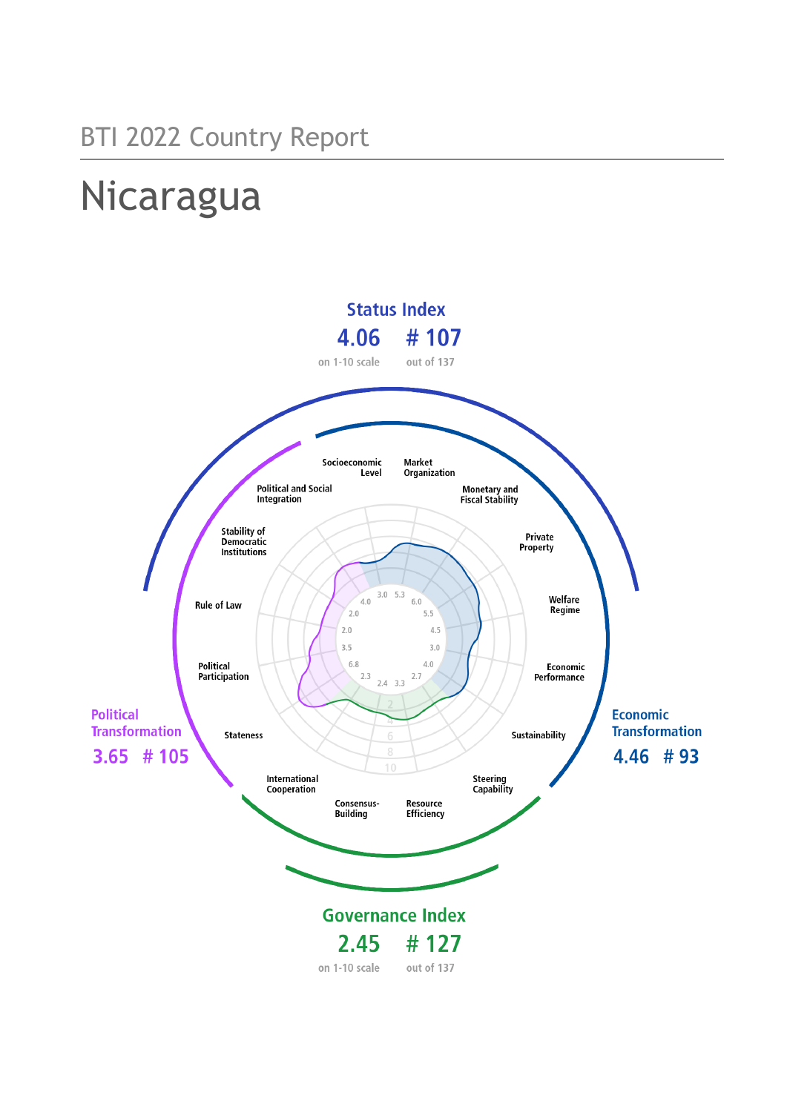# Nicaragua

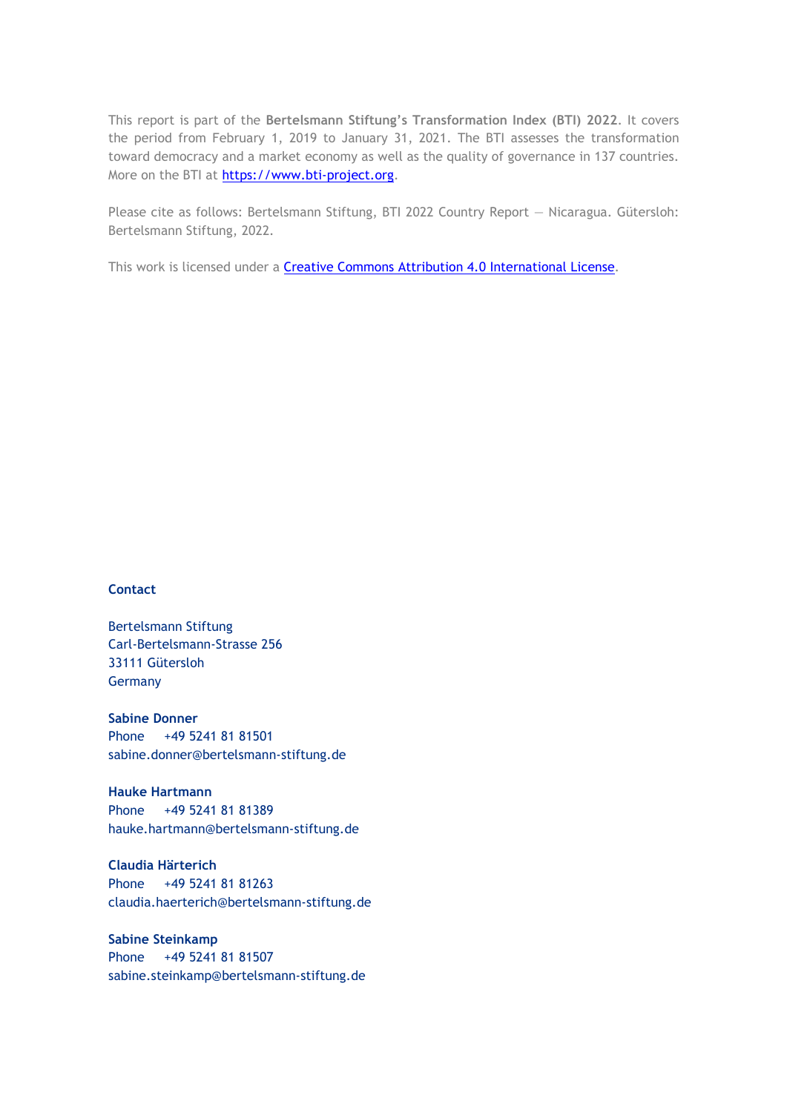This report is part of the **Bertelsmann Stiftung's Transformation Index (BTI) 2022**. It covers the period from February 1, 2019 to January 31, 2021. The BTI assesses the transformation toward democracy and a market economy as well as the quality of governance in 137 countries. More on the BTI at [https://www.bti-project.org.](https://www.bti-project.org/)

Please cite as follows: Bertelsmann Stiftung, BTI 2022 Country Report — Nicaragua. Gütersloh: Bertelsmann Stiftung, 2022.

This work is licensed under a **Creative Commons Attribution 4.0 International License**.

#### **Contact**

Bertelsmann Stiftung Carl-Bertelsmann-Strasse 256 33111 Gütersloh Germany

**Sabine Donner** Phone +49 5241 81 81501 sabine.donner@bertelsmann-stiftung.de

**Hauke Hartmann** Phone +49 5241 81 81389 hauke.hartmann@bertelsmann-stiftung.de

**Claudia Härterich** Phone +49 5241 81 81263 claudia.haerterich@bertelsmann-stiftung.de

#### **Sabine Steinkamp** Phone +49 5241 81 81507 sabine.steinkamp@bertelsmann-stiftung.de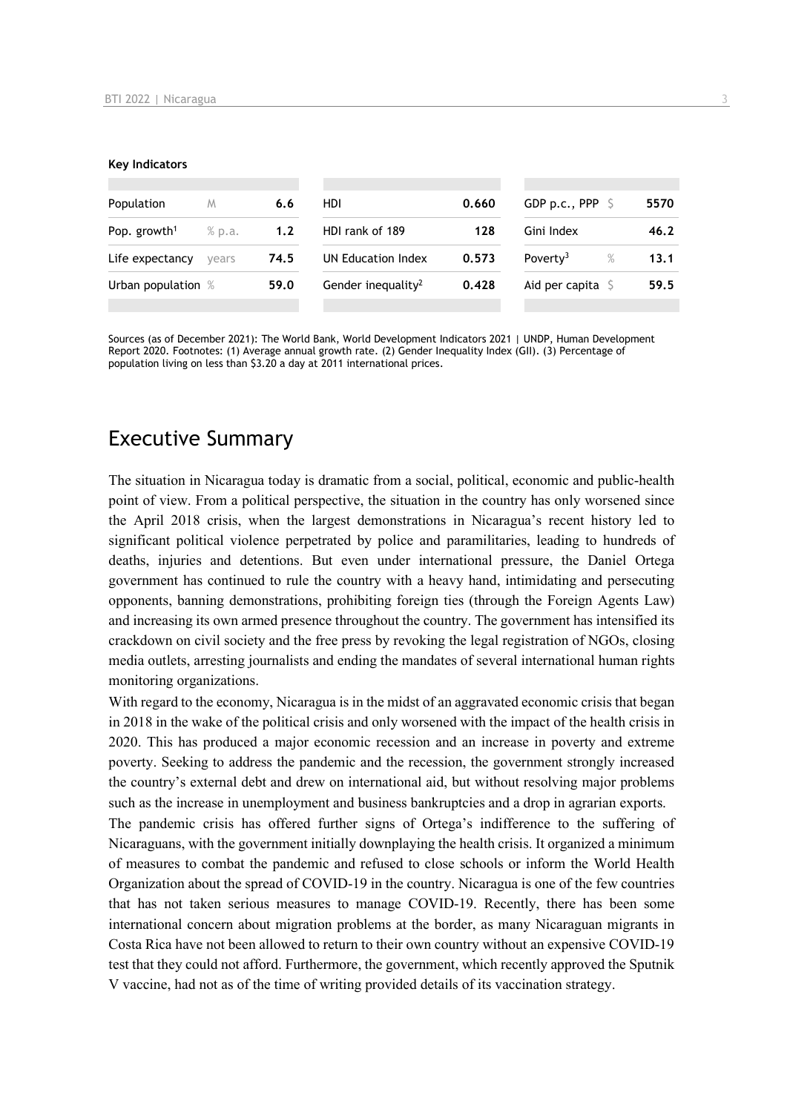#### **Key Indicators**

| Population               | M      | 6.6  | HDI                            | 0.660 | GDP p.c., PPP $\ S$       | 5570 |
|--------------------------|--------|------|--------------------------------|-------|---------------------------|------|
| Pop. growth <sup>1</sup> | % p.a. | 1.2  | HDI rank of 189                | 128   | Gini Index                | 46.2 |
| Life expectancy          | vears  | 74.5 | UN Education Index             | 0.573 | Poverty <sup>3</sup><br>% | 13.1 |
| Urban population %       |        | 59.0 | Gender inequality <sup>2</sup> | 0.428 | Aid per capita            | 59.5 |
|                          |        |      |                                |       |                           |      |

Sources (as of December 2021): The World Bank, World Development Indicators 2021 | UNDP, Human Development Report 2020. Footnotes: (1) Average annual growth rate. (2) Gender Inequality Index (GII). (3) Percentage of population living on less than \$3.20 a day at 2011 international prices.

## Executive Summary

The situation in Nicaragua today is dramatic from a social, political, economic and public-health point of view. From a political perspective, the situation in the country has only worsened since the April 2018 crisis, when the largest demonstrations in Nicaragua's recent history led to significant political violence perpetrated by police and paramilitaries, leading to hundreds of deaths, injuries and detentions. But even under international pressure, the Daniel Ortega government has continued to rule the country with a heavy hand, intimidating and persecuting opponents, banning demonstrations, prohibiting foreign ties (through the Foreign Agents Law) and increasing its own armed presence throughout the country. The government has intensified its crackdown on civil society and the free press by revoking the legal registration of NGOs, closing media outlets, arresting journalists and ending the mandates of several international human rights monitoring organizations.

With regard to the economy, Nicaragua is in the midst of an aggravated economic crisis that began in 2018 in the wake of the political crisis and only worsened with the impact of the health crisis in 2020. This has produced a major economic recession and an increase in poverty and extreme poverty. Seeking to address the pandemic and the recession, the government strongly increased the country's external debt and drew on international aid, but without resolving major problems such as the increase in unemployment and business bankruptcies and a drop in agrarian exports.

The pandemic crisis has offered further signs of Ortega's indifference to the suffering of Nicaraguans, with the government initially downplaying the health crisis. It organized a minimum of measures to combat the pandemic and refused to close schools or inform the World Health Organization about the spread of COVID-19 in the country. Nicaragua is one of the few countries that has not taken serious measures to manage COVID-19. Recently, there has been some international concern about migration problems at the border, as many Nicaraguan migrants in Costa Rica have not been allowed to return to their own country without an expensive COVID-19 test that they could not afford. Furthermore, the government, which recently approved the Sputnik V vaccine, had not as of the time of writing provided details of its vaccination strategy.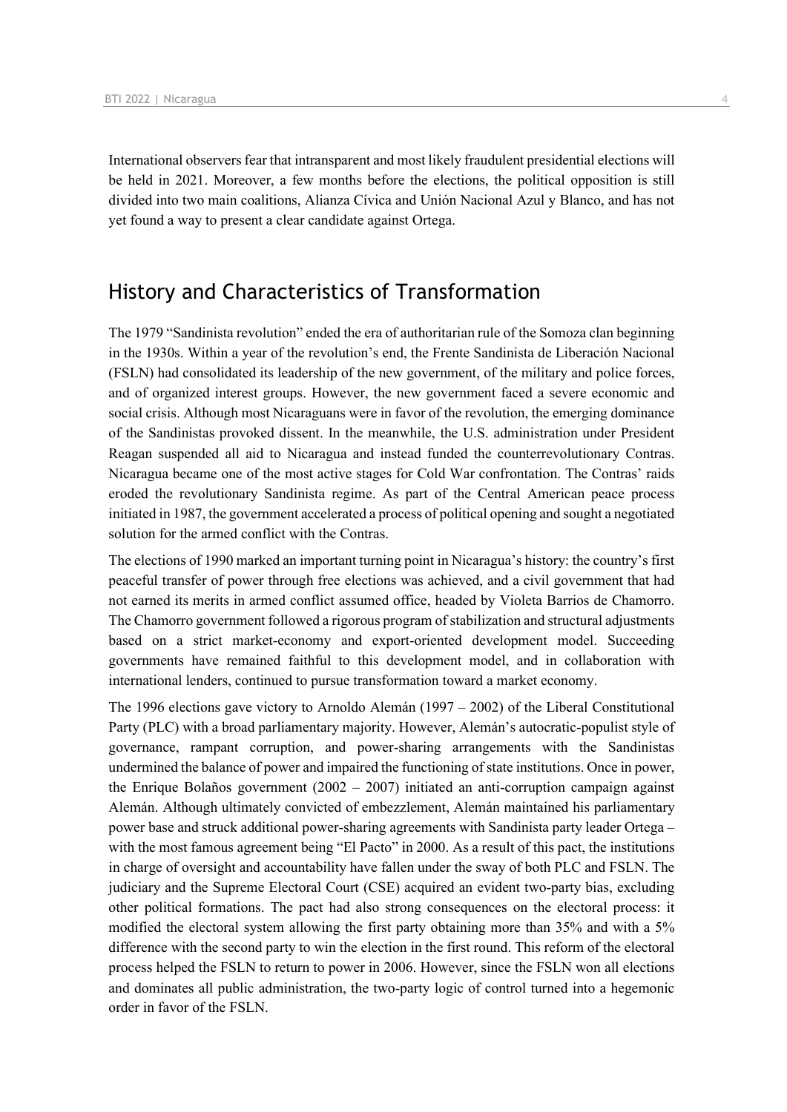International observers fear that intransparent and most likely fraudulent presidential elections will be held in 2021. Moreover, a few months before the elections, the political opposition is still divided into two main coalitions, Alianza Cívica and Unión Nacional Azul y Blanco, and has not yet found a way to present a clear candidate against Ortega.

## History and Characteristics of Transformation

The 1979 "Sandinista revolution" ended the era of authoritarian rule of the Somoza clan beginning in the 1930s. Within a year of the revolution's end, the Frente Sandinista de Liberación Nacional (FSLN) had consolidated its leadership of the new government, of the military and police forces, and of organized interest groups. However, the new government faced a severe economic and social crisis. Although most Nicaraguans were in favor of the revolution, the emerging dominance of the Sandinistas provoked dissent. In the meanwhile, the U.S. administration under President Reagan suspended all aid to Nicaragua and instead funded the counterrevolutionary Contras. Nicaragua became one of the most active stages for Cold War confrontation. The Contras' raids eroded the revolutionary Sandinista regime. As part of the Central American peace process initiated in 1987, the government accelerated a process of political opening and sought a negotiated solution for the armed conflict with the Contras.

The elections of 1990 marked an important turning point in Nicaragua's history: the country's first peaceful transfer of power through free elections was achieved, and a civil government that had not earned its merits in armed conflict assumed office, headed by Violeta Barrios de Chamorro. The Chamorro government followed a rigorous program of stabilization and structural adjustments based on a strict market-economy and export-oriented development model. Succeeding governments have remained faithful to this development model, and in collaboration with international lenders, continued to pursue transformation toward a market economy.

The 1996 elections gave victory to Arnoldo Alemán  $(1997 - 2002)$  of the Liberal Constitutional Party (PLC) with a broad parliamentary majority. However, Alemán's autocratic-populist style of governance, rampant corruption, and power-sharing arrangements with the Sandinistas undermined the balance of power and impaired the functioning of state institutions. Once in power, the Enrique Bolaños government (2002 – 2007) initiated an anti-corruption campaign against Alemán. Although ultimately convicted of embezzlement, Alemán maintained his parliamentary power base and struck additional power-sharing agreements with Sandinista party leader Ortega – with the most famous agreement being "El Pacto" in 2000. As a result of this pact, the institutions in charge of oversight and accountability have fallen under the sway of both PLC and FSLN. The judiciary and the Supreme Electoral Court (CSE) acquired an evident two-party bias, excluding other political formations. The pact had also strong consequences on the electoral process: it modified the electoral system allowing the first party obtaining more than 35% and with a 5% difference with the second party to win the election in the first round. This reform of the electoral process helped the FSLN to return to power in 2006. However, since the FSLN won all elections and dominates all public administration, the two-party logic of control turned into a hegemonic order in favor of the FSLN.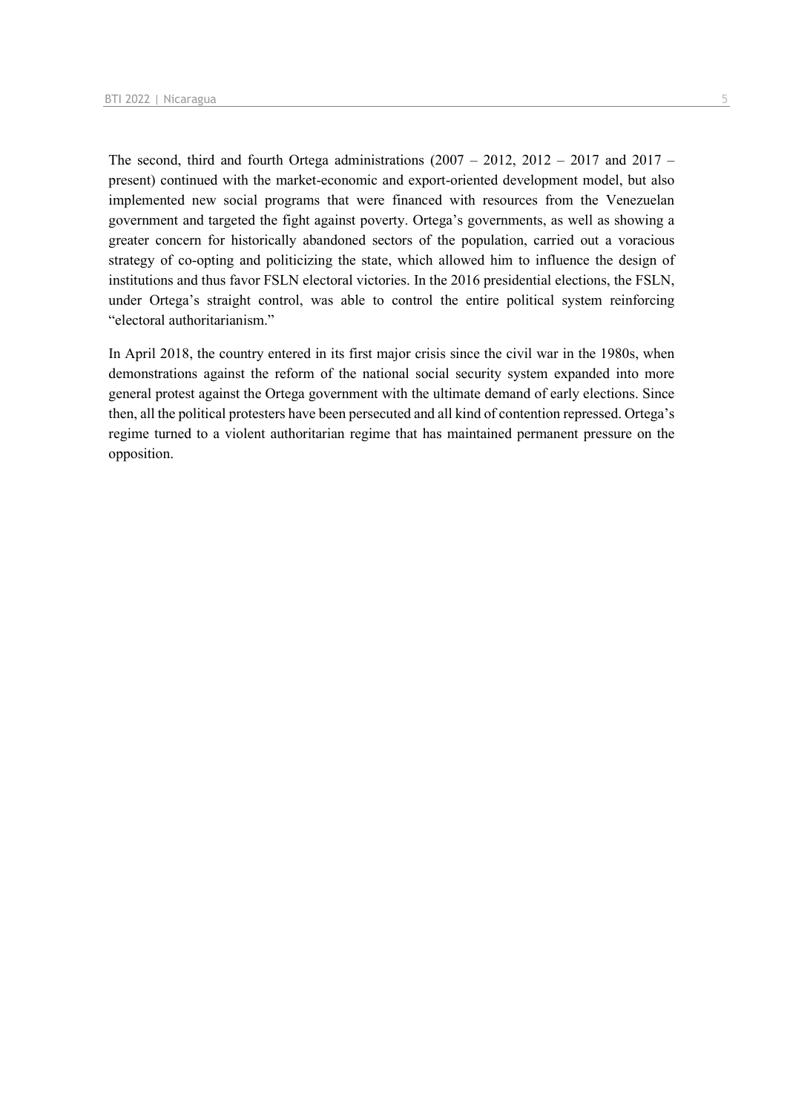The second, third and fourth Ortega administrations  $(2007 - 2012, 2012 - 2017, 2017 - 2017)$ present) continued with the market-economic and export-oriented development model, but also implemented new social programs that were financed with resources from the Venezuelan government and targeted the fight against poverty. Ortega's governments, as well as showing a greater concern for historically abandoned sectors of the population, carried out a voracious strategy of co-opting and politicizing the state, which allowed him to influence the design of institutions and thus favor FSLN electoral victories. In the 2016 presidential elections, the FSLN, under Ortega's straight control, was able to control the entire political system reinforcing "electoral authoritarianism."

In April 2018, the country entered in its first major crisis since the civil war in the 1980s, when demonstrations against the reform of the national social security system expanded into more general protest against the Ortega government with the ultimate demand of early elections. Since then, all the political protesters have been persecuted and all kind of contention repressed. Ortega's regime turned to a violent authoritarian regime that has maintained permanent pressure on the opposition.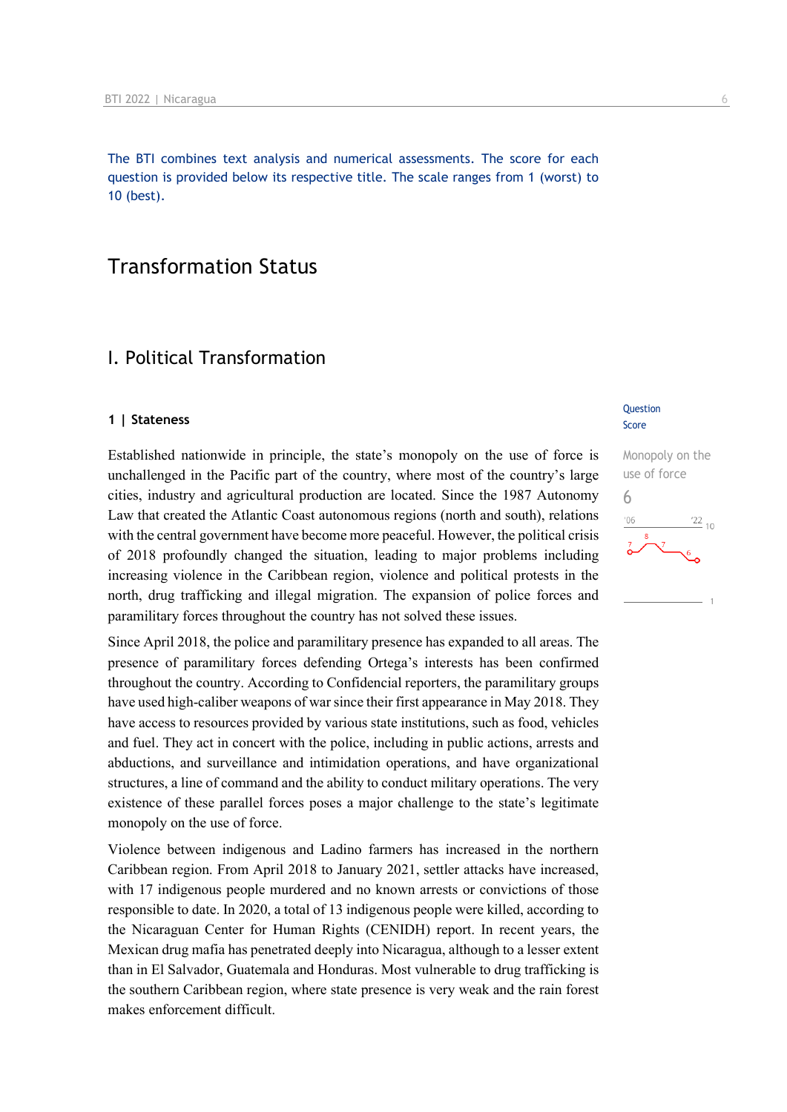The BTI combines text analysis and numerical assessments. The score for each question is provided below its respective title. The scale ranges from 1 (worst) to 10 (best).

## Transformation Status

## I. Political Transformation

#### **1 | Stateness**

Established nationwide in principle, the state's monopoly on the use of force is unchallenged in the Pacific part of the country, where most of the country's large cities, industry and agricultural production are located. Since the 1987 Autonomy Law that created the Atlantic Coast autonomous regions (north and south), relations with the central government have become more peaceful. However, the political crisis of 2018 profoundly changed the situation, leading to major problems including increasing violence in the Caribbean region, violence and political protests in the north, drug trafficking and illegal migration. The expansion of police forces and paramilitary forces throughout the country has not solved these issues.

Since April 2018, the police and paramilitary presence has expanded to all areas. The presence of paramilitary forces defending Ortega's interests has been confirmed throughout the country. According to Confidencial reporters, the paramilitary groups have used high-caliber weapons of war since their first appearance in May 2018. They have access to resources provided by various state institutions, such as food, vehicles and fuel. They act in concert with the police, including in public actions, arrests and abductions, and surveillance and intimidation operations, and have organizational structures, a line of command and the ability to conduct military operations. The very existence of these parallel forces poses a major challenge to the state's legitimate monopoly on the use of force.

Violence between indigenous and Ladino farmers has increased in the northern Caribbean region. From April 2018 to January 2021, settler attacks have increased, with 17 indigenous people murdered and no known arrests or convictions of those responsible to date. In 2020, a total of 13 indigenous people were killed, according to the Nicaraguan Center for Human Rights (CENIDH) report. In recent years, the Mexican drug mafia has penetrated deeply into Nicaragua, although to a lesser extent than in El Salvador, Guatemala and Honduras. Most vulnerable to drug trafficking is the southern Caribbean region, where state presence is very weak and the rain forest makes enforcement difficult.

#### **Question** Score

Monopoly on the use of force 6 $\frac{22}{10}$  $106$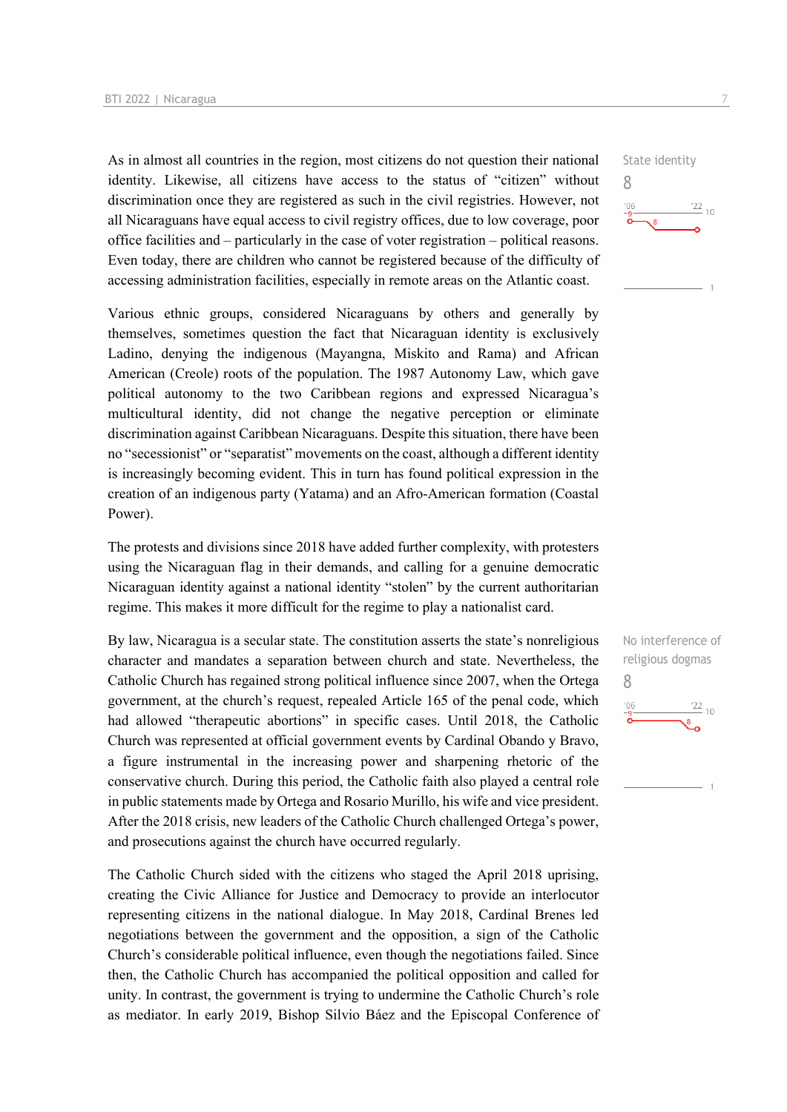As in almost all countries in the region, most citizens do not question their national identity. Likewise, all citizens have access to the status of "citizen" without discrimination once they are registered as such in the civil registries. However, not all Nicaraguans have equal access to civil registry offices, due to low coverage, poor office facilities and – particularly in the case of voter registration – political reasons. Even today, there are children who cannot be registered because of the difficulty of accessing administration facilities, especially in remote areas on the Atlantic coast.

Various ethnic groups, considered Nicaraguans by others and generally by themselves, sometimes question the fact that Nicaraguan identity is exclusively Ladino, denying the indigenous (Mayangna, Miskito and Rama) and African American (Creole) roots of the population. The 1987 Autonomy Law, which gave political autonomy to the two Caribbean regions and expressed Nicaragua's multicultural identity, did not change the negative perception or eliminate discrimination against Caribbean Nicaraguans. Despite this situation, there have been no "secessionist" or "separatist" movements on the coast, although a different identity is increasingly becoming evident. This in turn has found political expression in the creation of an indigenous party (Yatama) and an Afro-American formation (Coastal Power).

The protests and divisions since 2018 have added further complexity, with protesters using the Nicaraguan flag in their demands, and calling for a genuine democratic Nicaraguan identity against a national identity "stolen" by the current authoritarian regime. This makes it more difficult for the regime to play a nationalist card.

By law, Nicaragua is a secular state. The constitution asserts the state's nonreligious character and mandates a separation between church and state. Nevertheless, the Catholic Church has regained strong political influence since 2007, when the Ortega government, at the church's request, repealed Article 165 of the penal code, which had allowed "therapeutic abortions" in specific cases. Until 2018, the Catholic Church was represented at official government events by Cardinal Obando y Bravo, a figure instrumental in the increasing power and sharpening rhetoric of the conservative church. During this period, the Catholic faith also played a central role in public statements made by Ortega and Rosario Murillo, his wife and vice president. After the 2018 crisis, new leaders of the Catholic Church challenged Ortega's power, and prosecutions against the church have occurred regularly.

The Catholic Church sided with the citizens who staged the April 2018 uprising, creating the Civic Alliance for Justice and Democracy to provide an interlocutor representing citizens in the national dialogue. In May 2018, Cardinal Brenes led negotiations between the government and the opposition, a sign of the Catholic Church's considerable political influence, even though the negotiations failed. Since then, the Catholic Church has accompanied the political opposition and called for unity. In contrast, the government is trying to undermine the Catholic Church's role as mediator. In early 2019, Bishop Silvio Báez and the Episcopal Conference of



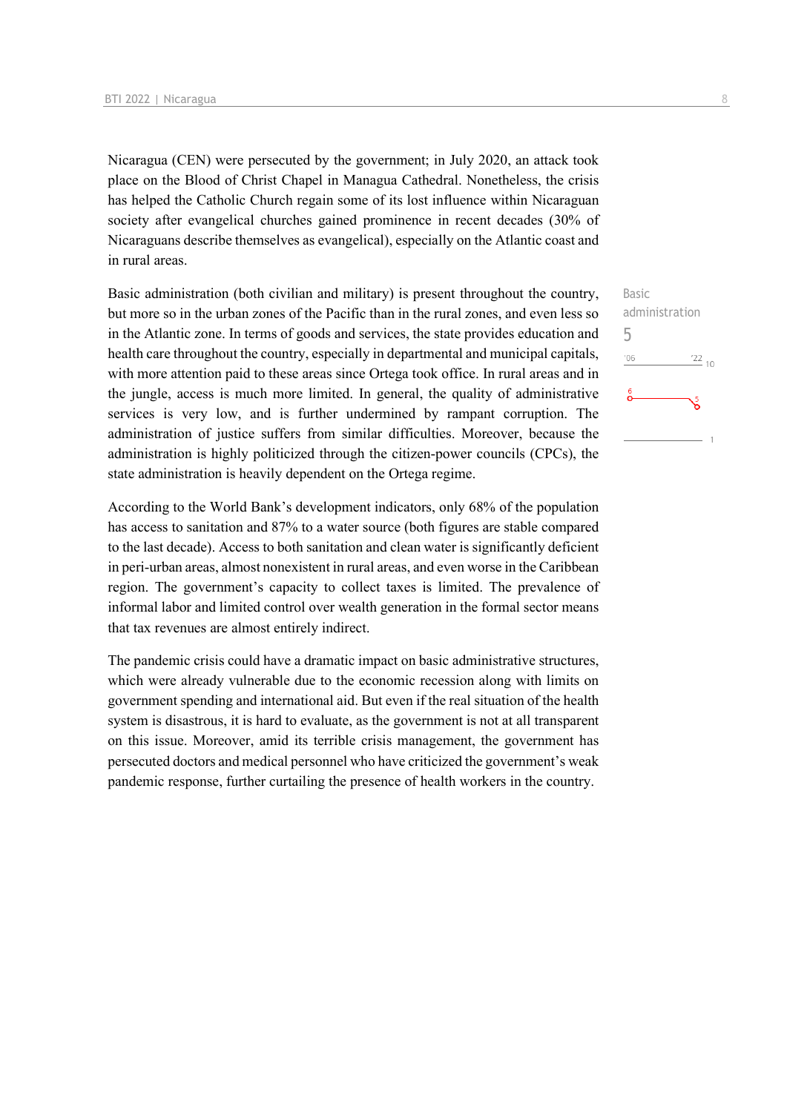Nicaragua (CEN) were persecuted by the government; in July 2020, an attack took place on the Blood of Christ Chapel in Managua Cathedral. Nonetheless, the crisis has helped the Catholic Church regain some of its lost influence within Nicaraguan society after evangelical churches gained prominence in recent decades (30% of Nicaraguans describe themselves as evangelical), especially on the Atlantic coast and in rural areas.

Basic administration (both civilian and military) is present throughout the country, but more so in the urban zones of the Pacific than in the rural zones, and even less so in the Atlantic zone. In terms of goods and services, the state provides education and health care throughout the country, especially in departmental and municipal capitals, with more attention paid to these areas since Ortega took office. In rural areas and in the jungle, access is much more limited. In general, the quality of administrative services is very low, and is further undermined by rampant corruption. The administration of justice suffers from similar difficulties. Moreover, because the administration is highly politicized through the citizen-power councils (CPCs), the state administration is heavily dependent on the Ortega regime.

According to the World Bank's development indicators, only 68% of the population has access to sanitation and 87% to a water source (both figures are stable compared to the last decade). Access to both sanitation and clean water is significantly deficient in peri-urban areas, almost nonexistent in rural areas, and even worse in the Caribbean region. The government's capacity to collect taxes is limited. The prevalence of informal labor and limited control over wealth generation in the formal sector means that tax revenues are almost entirely indirect.

The pandemic crisis could have a dramatic impact on basic administrative structures, which were already vulnerable due to the economic recession along with limits on government spending and international aid. But even if the real situation of the health system is disastrous, it is hard to evaluate, as the government is not at all transparent on this issue. Moreover, amid its terrible crisis management, the government has persecuted doctors and medical personnel who have criticized the government's weak pandemic response, further curtailing the presence of health workers in the country.

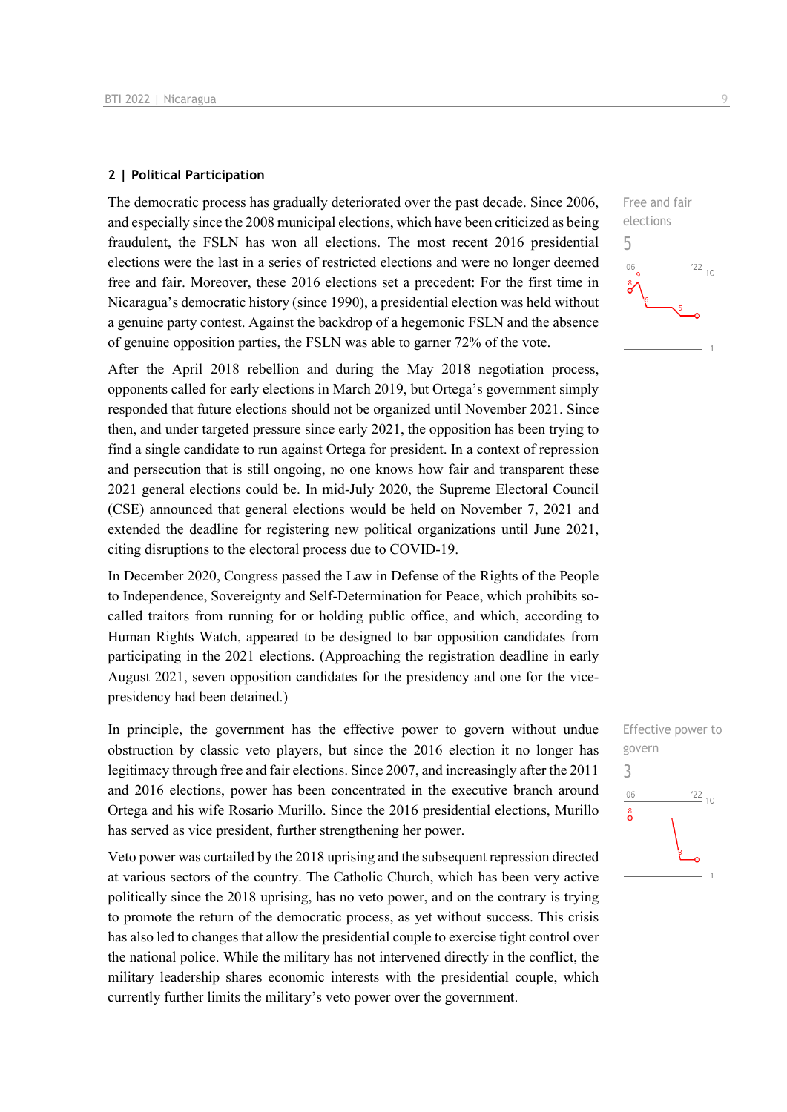#### **2 | Political Participation**

The democratic process has gradually deteriorated over the past decade. Since 2006, and especially since the 2008 municipal elections, which have been criticized as being fraudulent, the FSLN has won all elections. The most recent 2016 presidential elections were the last in a series of restricted elections and were no longer deemed free and fair. Moreover, these 2016 elections set a precedent: For the first time in Nicaragua's democratic history (since 1990), a presidential election was held without a genuine party contest. Against the backdrop of a hegemonic FSLN and the absence of genuine opposition parties, the FSLN was able to garner 72% of the vote.

After the April 2018 rebellion and during the May 2018 negotiation process, opponents called for early elections in March 2019, but Ortega's government simply responded that future elections should not be organized until November 2021. Since then, and under targeted pressure since early 2021, the opposition has been trying to find a single candidate to run against Ortega for president. In a context of repression and persecution that is still ongoing, no one knows how fair and transparent these 2021 general elections could be. In mid-July 2020, the Supreme Electoral Council (CSE) announced that general elections would be held on November 7, 2021 and extended the deadline for registering new political organizations until June 2021, citing disruptions to the electoral process due to COVID-19.

In December 2020, Congress passed the Law in Defense of the Rights of the People to Independence, Sovereignty and Self-Determination for Peace, which prohibits socalled traitors from running for or holding public office, and which, according to Human Rights Watch, appeared to be designed to bar opposition candidates from participating in the 2021 elections. (Approaching the registration deadline in early August 2021, seven opposition candidates for the presidency and one for the vicepresidency had been detained.)

In principle, the government has the effective power to govern without undue obstruction by classic veto players, but since the 2016 election it no longer has legitimacy through free and fair elections. Since 2007, and increasingly after the 2011 and 2016 elections, power has been concentrated in the executive branch around Ortega and his wife Rosario Murillo. Since the 2016 presidential elections, Murillo has served as vice president, further strengthening her power.

Veto power was curtailed by the 2018 uprising and the subsequent repression directed at various sectors of the country. The Catholic Church, which has been very active politically since the 2018 uprising, has no veto power, and on the contrary is trying to promote the return of the democratic process, as yet without success. This crisis has also led to changes that allow the presidential couple to exercise tight control over the national police. While the military has not intervened directly in the conflict, the military leadership shares economic interests with the presidential couple, which currently further limits the military's veto power over the government.



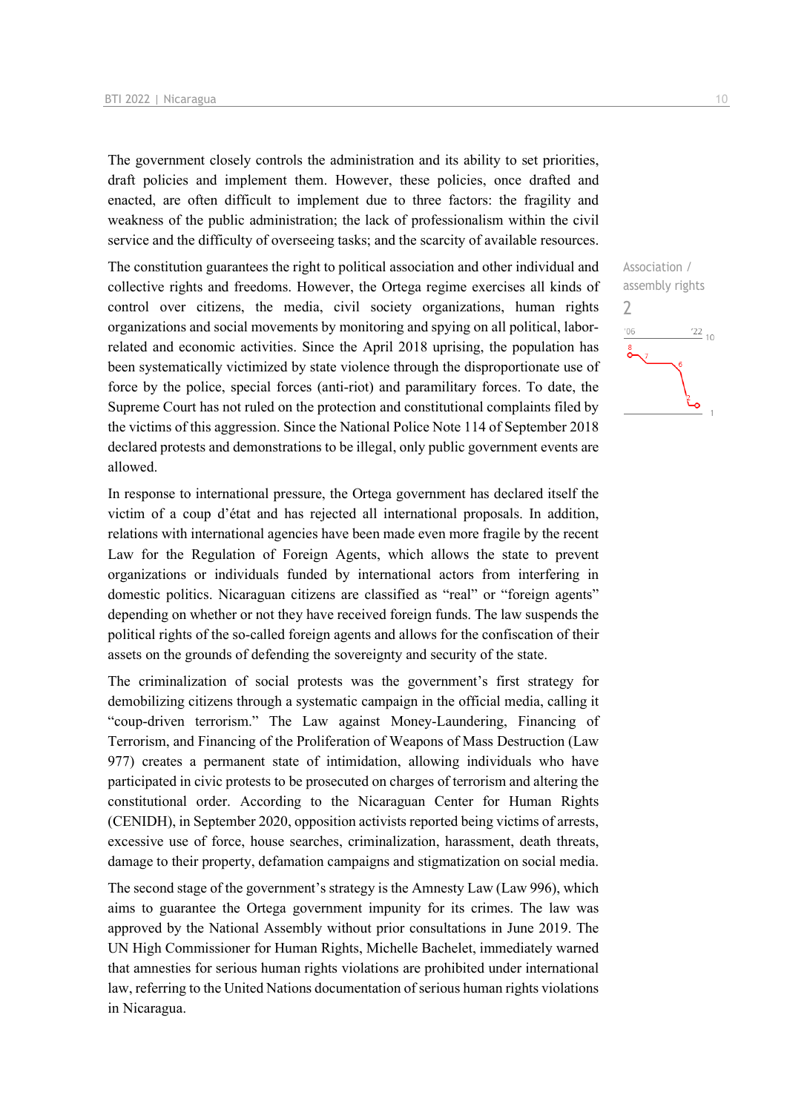The government closely controls the administration and its ability to set priorities, draft policies and implement them. However, these policies, once drafted and enacted, are often difficult to implement due to three factors: the fragility and weakness of the public administration; the lack of professionalism within the civil service and the difficulty of overseeing tasks; and the scarcity of available resources.

The constitution guarantees the right to political association and other individual and collective rights and freedoms. However, the Ortega regime exercises all kinds of control over citizens, the media, civil society organizations, human rights organizations and social movements by monitoring and spying on all political, laborrelated and economic activities. Since the April 2018 uprising, the population has been systematically victimized by state violence through the disproportionate use of force by the police, special forces (anti-riot) and paramilitary forces. To date, the Supreme Court has not ruled on the protection and constitutional complaints filed by the victims of this aggression. Since the National Police Note 114 of September 2018 declared protests and demonstrations to be illegal, only public government events are allowed.

In response to international pressure, the Ortega government has declared itself the victim of a coup d'état and has rejected all international proposals. In addition, relations with international agencies have been made even more fragile by the recent Law for the Regulation of Foreign Agents, which allows the state to prevent organizations or individuals funded by international actors from interfering in domestic politics. Nicaraguan citizens are classified as "real" or "foreign agents" depending on whether or not they have received foreign funds. The law suspends the political rights of the so-called foreign agents and allows for the confiscation of their assets on the grounds of defending the sovereignty and security of the state.

The criminalization of social protests was the government's first strategy for demobilizing citizens through a systematic campaign in the official media, calling it "coup-driven terrorism." The Law against Money-Laundering, Financing of Terrorism, and Financing of the Proliferation of Weapons of Mass Destruction (Law 977) creates a permanent state of intimidation, allowing individuals who have participated in civic protests to be prosecuted on charges of terrorism and altering the constitutional order. According to the Nicaraguan Center for Human Rights (CENIDH), in September 2020, opposition activists reported being victims of arrests, excessive use of force, house searches, criminalization, harassment, death threats, damage to their property, defamation campaigns and stigmatization on social media.

The second stage of the government's strategy is the Amnesty Law (Law 996), which aims to guarantee the Ortega government impunity for its crimes. The law was approved by the National Assembly without prior consultations in June 2019. The UN High Commissioner for Human Rights, Michelle Bachelet, immediately warned that amnesties for serious human rights violations are prohibited under international law, referring to the United Nations documentation of serious human rights violations in Nicaragua.

Association / assembly rights 2 $\frac{22}{10}$  $^{\prime}06$ صٔ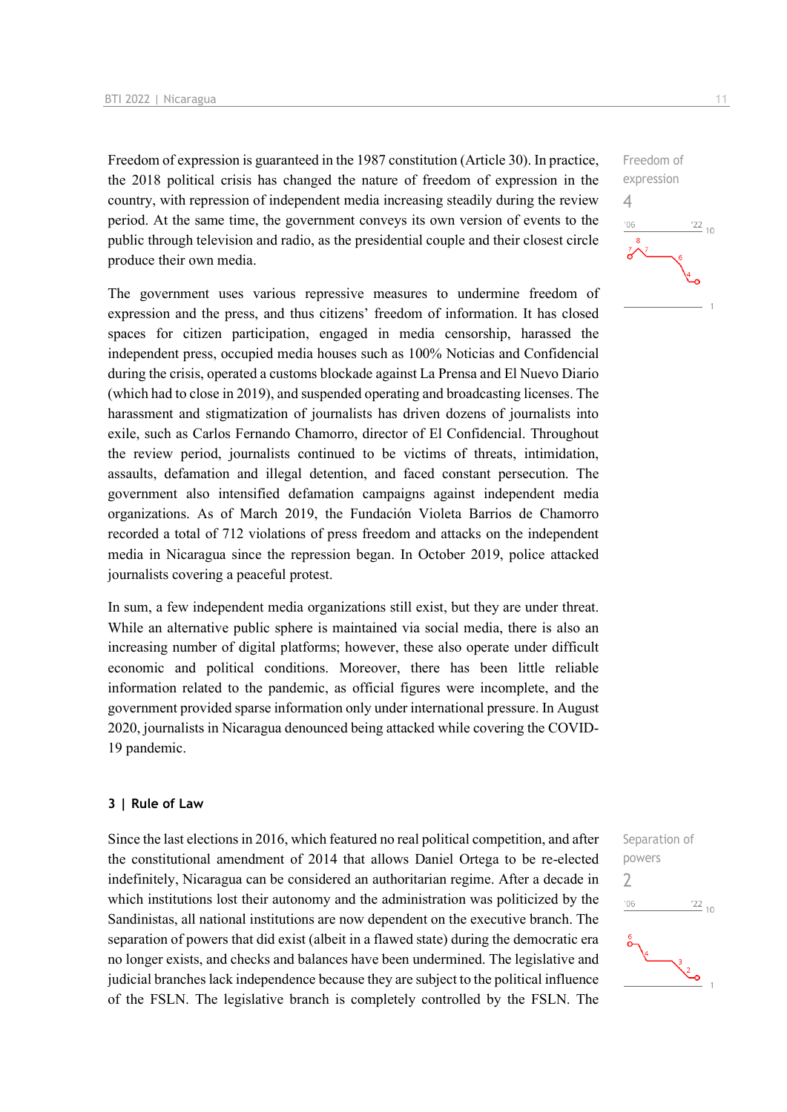Freedom of expression is guaranteed in the 1987 constitution (Article 30). In practice, the 2018 political crisis has changed the nature of freedom of expression in the country, with repression of independent media increasing steadily during the review period. At the same time, the government conveys its own version of events to the public through television and radio, as the presidential couple and their closest circle produce their own media.

The government uses various repressive measures to undermine freedom of expression and the press, and thus citizens' freedom of information. It has closed spaces for citizen participation, engaged in media censorship, harassed the independent press, occupied media houses such as 100% Noticias and Confidencial during the crisis, operated a customs blockade against La Prensa and El Nuevo Diario (which had to close in 2019), and suspended operating and broadcasting licenses. The harassment and stigmatization of journalists has driven dozens of journalists into exile, such as Carlos Fernando Chamorro, director of El Confidencial. Throughout the review period, journalists continued to be victims of threats, intimidation, assaults, defamation and illegal detention, and faced constant persecution. The government also intensified defamation campaigns against independent media organizations. As of March 2019, the Fundación Violeta Barrios de Chamorro recorded a total of 712 violations of press freedom and attacks on the independent media in Nicaragua since the repression began. In October 2019, police attacked journalists covering a peaceful protest.

In sum, a few independent media organizations still exist, but they are under threat. While an alternative public sphere is maintained via social media, there is also an increasing number of digital platforms; however, these also operate under difficult economic and political conditions. Moreover, there has been little reliable information related to the pandemic, as official figures were incomplete, and the government provided sparse information only under international pressure. In August 2020, journalists in Nicaragua denounced being attacked while covering the COVID-19 pandemic.

#### **3 | Rule of Law**

Since the last elections in 2016, which featured no real political competition, and after the constitutional amendment of 2014 that allows Daniel Ortega to be re-elected indefinitely, Nicaragua can be considered an authoritarian regime. After a decade in which institutions lost their autonomy and the administration was politicized by the Sandinistas, all national institutions are now dependent on the executive branch. The separation of powers that did exist (albeit in a flawed state) during the democratic era no longer exists, and checks and balances have been undermined. The legislative and judicial branches lack independence because they are subject to the political influence of the FSLN. The legislative branch is completely controlled by the FSLN. The



Freedom of expression  $\Delta$  $-06$  $\frac{22}{10}$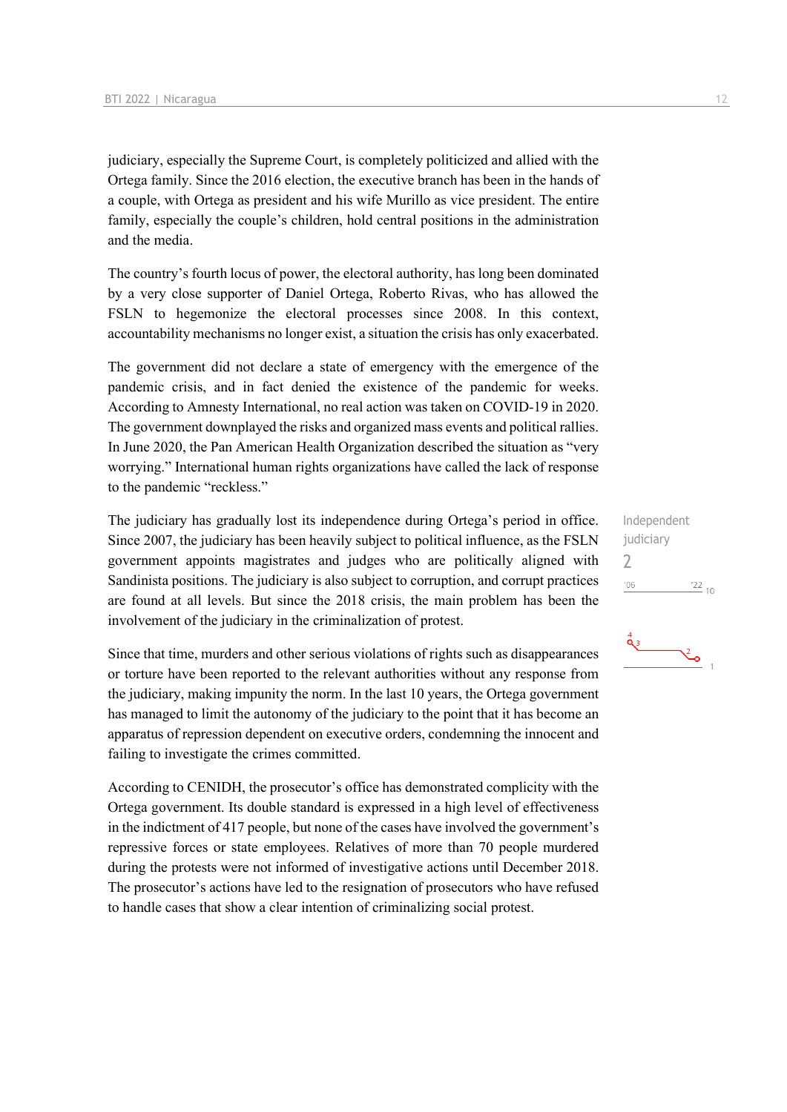judiciary, especially the Supreme Court, is completely politicized and allied with the Ortega family. Since the 2016 election, the executive branch has been in the hands of a couple, with Ortega as president and his wife Murillo as vice president. The entire family, especially the couple's children, hold central positions in the administration and the media.

The country's fourth locus of power, the electoral authority, has long been dominated by a very close supporter of Daniel Ortega, Roberto Rivas, who has allowed the FSLN to hegemonize the electoral processes since 2008. In this context, accountability mechanisms no longer exist, a situation the crisis has only exacerbated.

The government did not declare a state of emergency with the emergence of the pandemic crisis, and in fact denied the existence of the pandemic for weeks. According to Amnesty International, no real action was taken on COVID-19 in 2020. The government downplayed the risks and organized mass events and political rallies. In June 2020, the Pan American Health Organization described the situation as "very worrying." International human rights organizations have called the lack of response to the pandemic "reckless."

The judiciary has gradually lost its independence during Ortega's period in office. Since 2007, the judiciary has been heavily subject to political influence, as the FSLN government appoints magistrates and judges who are politically aligned with Sandinista positions. The judiciary is also subject to corruption, and corrupt practices are found at all levels. But since the 2018 crisis, the main problem has been the involvement of the judiciary in the criminalization of protest.

Since that time, murders and other serious violations of rights such as disappearances or torture have been reported to the relevant authorities without any response from the judiciary, making impunity the norm. In the last 10 years, the Ortega government has managed to limit the autonomy of the judiciary to the point that it has become an apparatus of repression dependent on executive orders, condemning the innocent and failing to investigate the crimes committed.

According to CENIDH, the prosecutor's office has demonstrated complicity with the Ortega government. Its double standard is expressed in a high level of effectiveness in the indictment of 417 people, but none of the cases have involved the government's repressive forces or state employees. Relatives of more than 70 people murdered during the protests were not informed of investigative actions until December 2018. The prosecutor's actions have led to the resignation of prosecutors who have refused to handle cases that show a clear intention of criminalizing social protest.

Independent judiciary  $\overline{\phantom{0}}$  $06'$  $\frac{22}{10}$ 

 $\sum_{i=1}^{n}$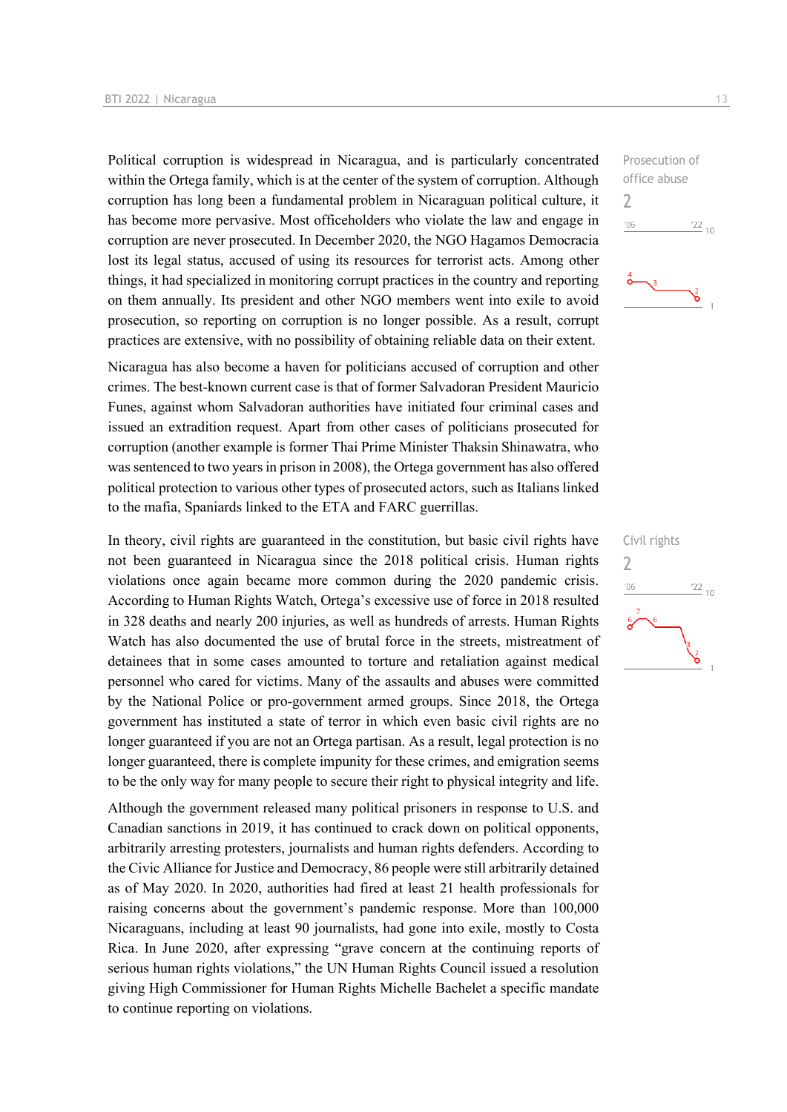Political corruption is widespread in Nicaragua, and is particularly concentrated within the Ortega family, which is at the center of the system of corruption. Although corruption has long been a fundamental problem in Nicaraguan political culture, it has become more pervasive. Most officeholders who violate the law and engage in corruption are never prosecuted. In December 2020, the NGO Hagamos Democracia lost its legal status, accused of using its resources for terrorist acts. Among other things, it had specialized in monitoring corrupt practices in the country and reporting on them annually. Its president and other NGO members went into exile to avoid prosecution, so reporting on corruption is no longer possible. As a result, corrupt practices are extensive, with no possibility of obtaining reliable data on their extent.

Nicaragua has also become a haven for politicians accused of corruption and other crimes. The best-known current case is that of former Salvadoran President Mauricio Funes, against whom Salvadoran authorities have initiated four criminal cases and issued an extradition request. Apart from other cases of politicians prosecuted for corruption (another example is former Thai Prime Minister Thaksin Shinawatra, who was sentenced to two years in prison in 2008), the Ortega government has also offered political protection to various other types of prosecuted actors, such as Italians linked to the mafia, Spaniards linked to the ETA and FARC guerrillas.

In theory, civil rights are guaranteed in the constitution, but basic civil rights have not been guaranteed in Nicaragua since the 2018 political crisis. Human rights violations once again became more common during the 2020 pandemic crisis. According to Human Rights Watch, Ortega's excessive use of force in 2018 resulted in 328 deaths and nearly 200 injuries, as well as hundreds of arrests. Human Rights Watch has also documented the use of brutal force in the streets, mistreatment of detainees that in some cases amounted to torture and retaliation against medical personnel who cared for victims. Many of the assaults and abuses were committed by the National Police or pro-government armed groups. Since 2018, the Ortega government has instituted a state of terror in which even basic civil rights are no longer guaranteed if you are not an Ortega partisan. As a result, legal protection is no longer guaranteed, there is complete impunity for these crimes, and emigration seems to be the only way for many people to secure their right to physical integrity and life.

Although the government released many political prisoners in response to U.S. and Canadian sanctions in 2019, it has continued to crack down on political opponents, arbitrarily arresting protesters, journalists and human rights defenders. According to the Civic Alliance for Justice and Democracy, 86 people were still arbitrarily detained as of May 2020. In 2020, authorities had fired at least 21 health professionals for raising concerns about the government's pandemic response. More than 100,000 Nicaraguans, including at least 90 journalists, had gone into exile, mostly to Costa Rica. In June 2020, after expressing "grave concern at the continuing reports of serious human rights violations," the UN Human Rights Council issued a resolution giving High Commissioner for Human Rights Michelle Bachelet a specific mandate to continue reporting on violations.



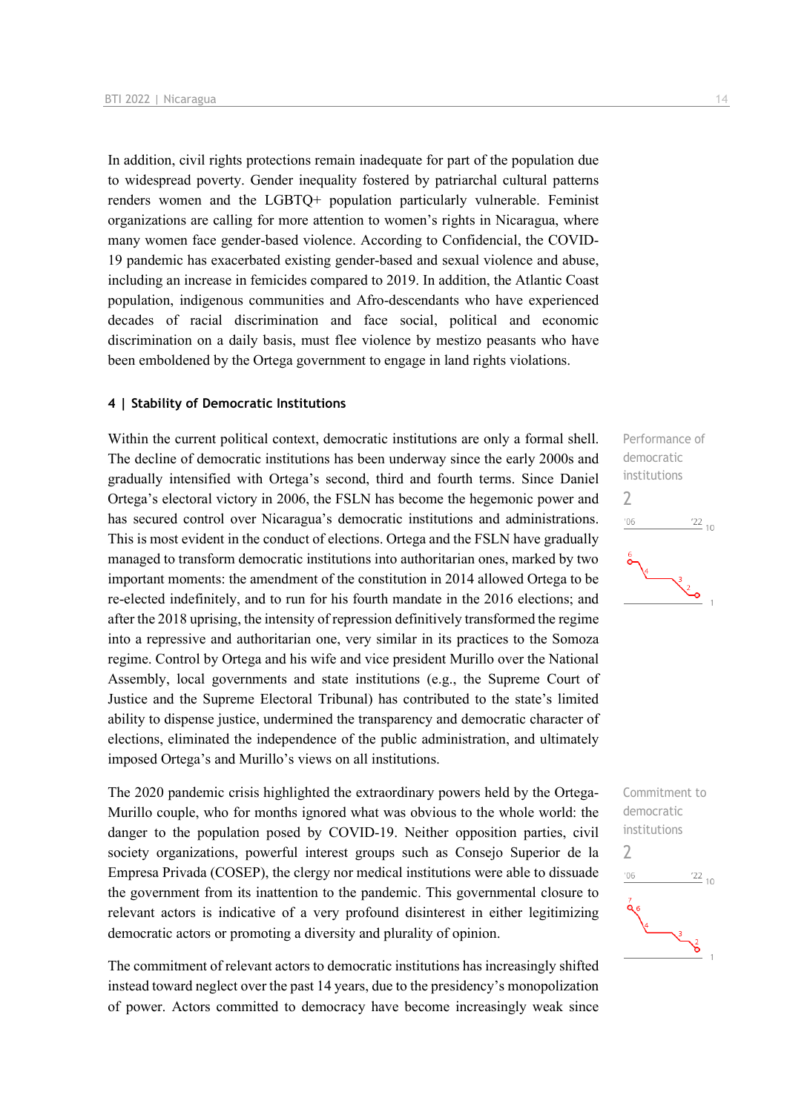In addition, civil rights protections remain inadequate for part of the population due to widespread poverty. Gender inequality fostered by patriarchal cultural patterns renders women and the LGBTQ+ population particularly vulnerable. Feminist organizations are calling for more attention to women's rights in Nicaragua, where many women face gender-based violence. According to Confidencial, the COVID-19 pandemic has exacerbated existing gender-based and sexual violence and abuse, including an increase in femicides compared to 2019. In addition, the Atlantic Coast population, indigenous communities and Afro-descendants who have experienced decades of racial discrimination and face social, political and economic discrimination on a daily basis, must flee violence by mestizo peasants who have been emboldened by the Ortega government to engage in land rights violations.

#### **4 | Stability of Democratic Institutions**

Within the current political context, democratic institutions are only a formal shell. The decline of democratic institutions has been underway since the early 2000s and gradually intensified with Ortega's second, third and fourth terms. Since Daniel Ortega's electoral victory in 2006, the FSLN has become the hegemonic power and has secured control over Nicaragua's democratic institutions and administrations. This is most evident in the conduct of elections. Ortega and the FSLN have gradually managed to transform democratic institutions into authoritarian ones, marked by two important moments: the amendment of the constitution in 2014 allowed Ortega to be re-elected indefinitely, and to run for his fourth mandate in the 2016 elections; and after the 2018 uprising, the intensity of repression definitively transformed the regime into a repressive and authoritarian one, very similar in its practices to the Somoza regime. Control by Ortega and his wife and vice president Murillo over the National Assembly, local governments and state institutions (e.g., the Supreme Court of Justice and the Supreme Electoral Tribunal) has contributed to the state's limited ability to dispense justice, undermined the transparency and democratic character of elections, eliminated the independence of the public administration, and ultimately imposed Ortega's and Murillo's views on all institutions.

The 2020 pandemic crisis highlighted the extraordinary powers held by the Ortega-Murillo couple, who for months ignored what was obvious to the whole world: the danger to the population posed by COVID-19. Neither opposition parties, civil society organizations, powerful interest groups such as Consejo Superior de la Empresa Privada (COSEP), the clergy nor medical institutions were able to dissuade the government from its inattention to the pandemic. This governmental closure to relevant actors is indicative of a very profound disinterest in either legitimizing democratic actors or promoting a diversity and plurality of opinion.

The commitment of relevant actors to democratic institutions has increasingly shifted instead toward neglect over the past 14 years, due to the presidency's monopolization of power. Actors committed to democracy have become increasingly weak since



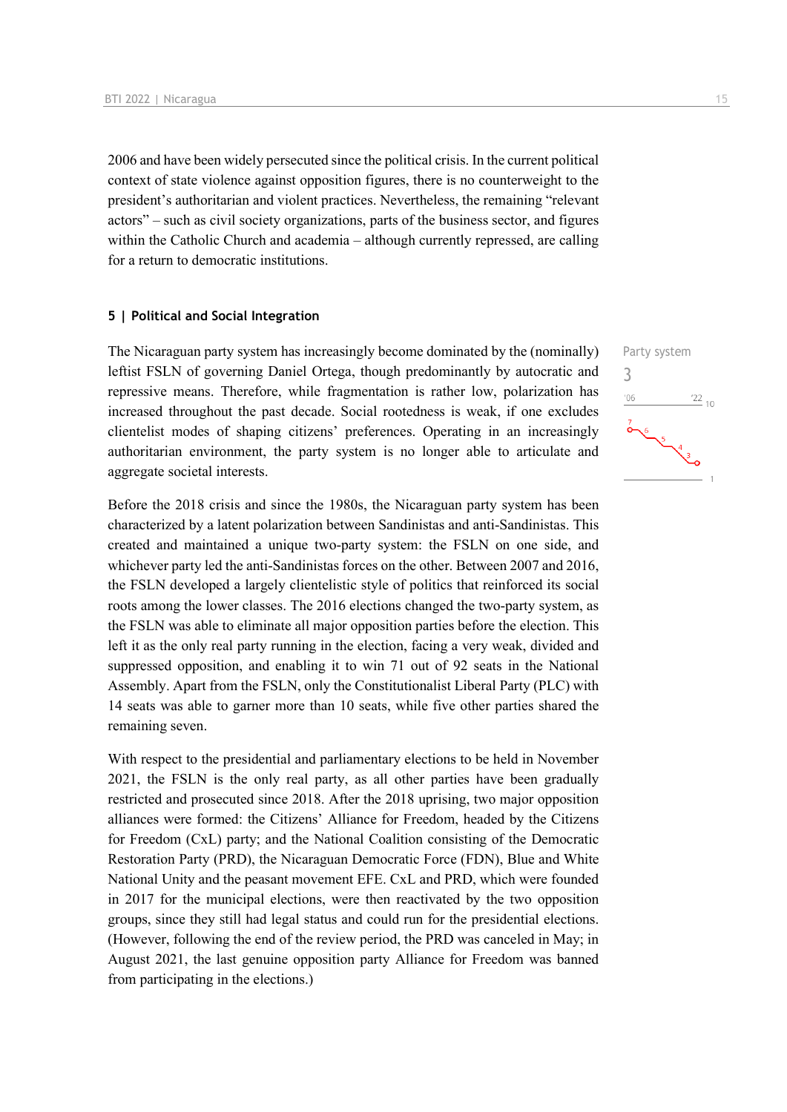2006 and have been widely persecuted since the political crisis. In the current political context of state violence against opposition figures, there is no counterweight to the president's authoritarian and violent practices. Nevertheless, the remaining "relevant actors" – such as civil society organizations, parts of the business sector, and figures within the Catholic Church and academia – although currently repressed, are calling for a return to democratic institutions.

#### **5 | Political and Social Integration**

The Nicaraguan party system has increasingly become dominated by the (nominally) leftist FSLN of governing Daniel Ortega, though predominantly by autocratic and repressive means. Therefore, while fragmentation is rather low, polarization has increased throughout the past decade. Social rootedness is weak, if one excludes clientelist modes of shaping citizens' preferences. Operating in an increasingly authoritarian environment, the party system is no longer able to articulate and aggregate societal interests.

Before the 2018 crisis and since the 1980s, the Nicaraguan party system has been characterized by a latent polarization between Sandinistas and anti-Sandinistas. This created and maintained a unique two-party system: the FSLN on one side, and whichever party led the anti-Sandinistas forces on the other. Between 2007 and 2016, the FSLN developed a largely clientelistic style of politics that reinforced its social roots among the lower classes. The 2016 elections changed the two-party system, as the FSLN was able to eliminate all major opposition parties before the election. This left it as the only real party running in the election, facing a very weak, divided and suppressed opposition, and enabling it to win 71 out of 92 seats in the National Assembly. Apart from the FSLN, only the Constitutionalist Liberal Party (PLC) with 14 seats was able to garner more than 10 seats, while five other parties shared the remaining seven.

With respect to the presidential and parliamentary elections to be held in November 2021, the FSLN is the only real party, as all other parties have been gradually restricted and prosecuted since 2018. After the 2018 uprising, two major opposition alliances were formed: the Citizens' Alliance for Freedom, headed by the Citizens for Freedom (CxL) party; and the National Coalition consisting of the Democratic Restoration Party (PRD), the Nicaraguan Democratic Force (FDN), Blue and White National Unity and the peasant movement EFE. CxL and PRD, which were founded in 2017 for the municipal elections, were then reactivated by the two opposition groups, since they still had legal status and could run for the presidential elections. (However, following the end of the review period, the PRD was canceled in May; in August 2021, the last genuine opposition party Alliance for Freedom was banned from participating in the elections.)

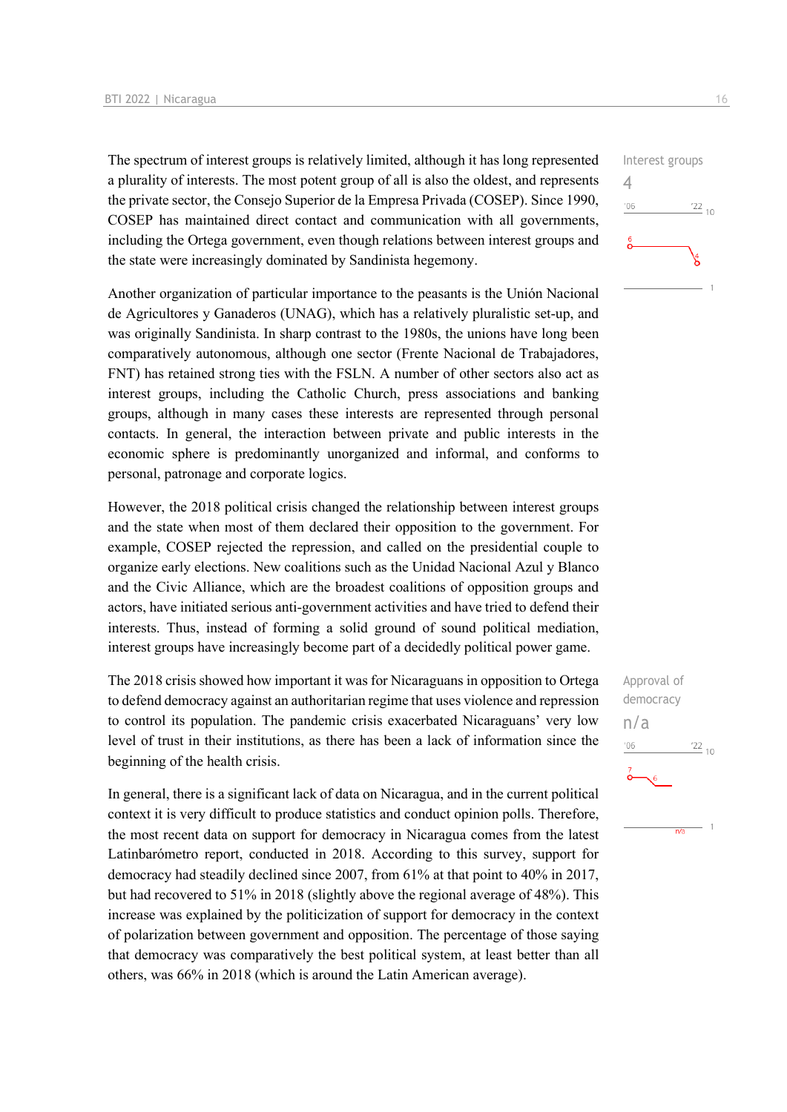The spectrum of interest groups is relatively limited, although it has long represented a plurality of interests. The most potent group of all is also the oldest, and represents the private sector, the Consejo Superior de la Empresa Privada (COSEP). Since 1990, COSEP has maintained direct contact and communication with all governments, including the Ortega government, even though relations between interest groups and the state were increasingly dominated by Sandinista hegemony.

Another organization of particular importance to the peasants is the Unión Nacional de Agricultores y Ganaderos (UNAG), which has a relatively pluralistic set-up, and was originally Sandinista. In sharp contrast to the 1980s, the unions have long been comparatively autonomous, although one sector (Frente Nacional de Trabajadores, FNT) has retained strong ties with the FSLN. A number of other sectors also act as interest groups, including the Catholic Church, press associations and banking groups, although in many cases these interests are represented through personal contacts. In general, the interaction between private and public interests in the economic sphere is predominantly unorganized and informal, and conforms to personal, patronage and corporate logics.

However, the 2018 political crisis changed the relationship between interest groups and the state when most of them declared their opposition to the government. For example, COSEP rejected the repression, and called on the presidential couple to organize early elections. New coalitions such as the Unidad Nacional Azul y Blanco and the Civic Alliance, which are the broadest coalitions of opposition groups and actors, have initiated serious anti-government activities and have tried to defend their interests. Thus, instead of forming a solid ground of sound political mediation, interest groups have increasingly become part of a decidedly political power game.

The 2018 crisis showed how important it was for Nicaraguans in opposition to Ortega to defend democracy against an authoritarian regime that uses violence and repression to control its population. The pandemic crisis exacerbated Nicaraguans' very low level of trust in their institutions, as there has been a lack of information since the beginning of the health crisis.

In general, there is a significant lack of data on Nicaragua, and in the current political context it is very difficult to produce statistics and conduct opinion polls. Therefore, the most recent data on support for democracy in Nicaragua comes from the latest Latinbarómetro report, conducted in 2018. According to this survey, support for democracy had steadily declined since 2007, from 61% at that point to 40% in 2017, but had recovered to 51% in 2018 (slightly above the regional average of 48%). This increase was explained by the politicization of support for democracy in the context of polarization between government and opposition. The percentage of those saying that democracy was comparatively the best political system, at least better than all others, was 66% in 2018 (which is around the Latin American average).



Approval of democracy n/a $10^{12}$  $06'$ 

 $\overline{n/a}$ 

 $\overline{1}$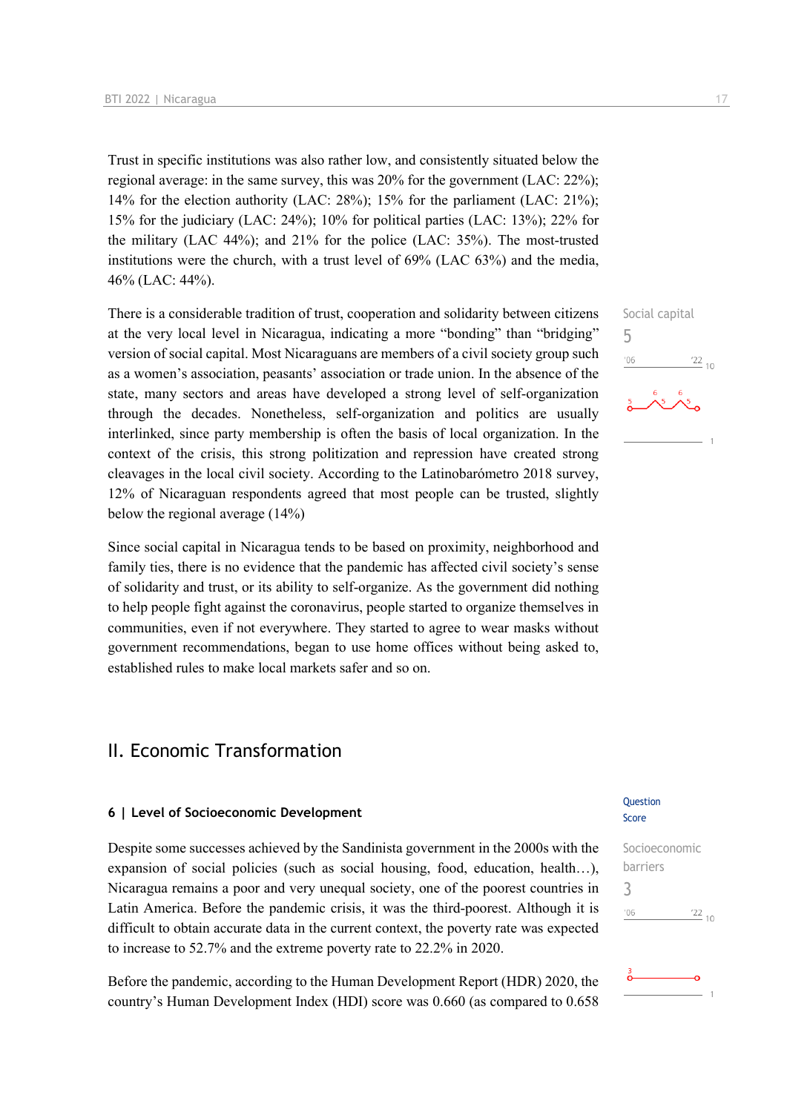Trust in specific institutions was also rather low, and consistently situated below the regional average: in the same survey, this was 20% for the government (LAC: 22%); 14% for the election authority (LAC: 28%); 15% for the parliament (LAC: 21%); 15% for the judiciary (LAC: 24%); 10% for political parties (LAC: 13%); 22% for the military (LAC 44%); and 21% for the police (LAC: 35%). The most-trusted institutions were the church, with a trust level of 69% (LAC 63%) and the media, 46% (LAC: 44%).

There is a considerable tradition of trust, cooperation and solidarity between citizens at the very local level in Nicaragua, indicating a more "bonding" than "bridging" version of social capital. Most Nicaraguans are members of a civil society group such as a women's association, peasants' association or trade union. In the absence of the state, many sectors and areas have developed a strong level of self-organization through the decades. Nonetheless, self-organization and politics are usually interlinked, since party membership is often the basis of local organization. In the context of the crisis, this strong politization and repression have created strong cleavages in the local civil society. According to the Latinobarómetro 2018 survey, 12% of Nicaraguan respondents agreed that most people can be trusted, slightly below the regional average (14%)

Since social capital in Nicaragua tends to be based on proximity, neighborhood and family ties, there is no evidence that the pandemic has affected civil society's sense of solidarity and trust, or its ability to self-organize. As the government did nothing to help people fight against the coronavirus, people started to organize themselves in communities, even if not everywhere. They started to agree to wear masks without government recommendations, began to use home offices without being asked to, established rules to make local markets safer and so on.

## II. Economic Transformation

#### **6 | Level of Socioeconomic Development**

Despite some successes achieved by the Sandinista government in the 2000s with the expansion of social policies (such as social housing, food, education, health…), Nicaragua remains a poor and very unequal society, one of the poorest countries in Latin America. Before the pandemic crisis, it was the third-poorest. Although it is difficult to obtain accurate data in the current context, the poverty rate was expected to increase to 52.7% and the extreme poverty rate to 22.2% in 2020.

Before the pandemic, according to the Human Development Report (HDR) 2020, the country's Human Development Index (HDI) score was 0.660 (as compared to 0.658

#### **Ouestion** Score

Socioeconomic barriers 3 $\frac{22}{10}$  $-06$ 



Social capital 5  $\frac{22}{10}$  $^{\prime}06$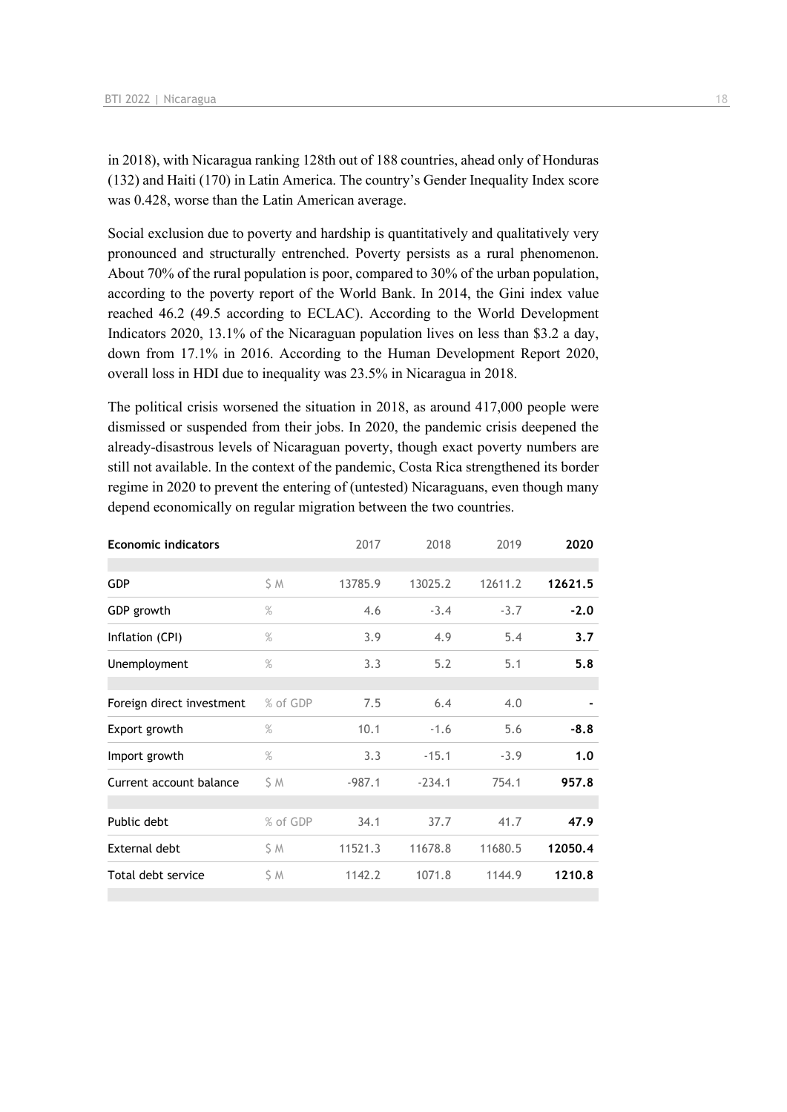in 2018), with Nicaragua ranking 128th out of 188 countries, ahead only of Honduras (132) and Haiti (170) in Latin America. The country's Gender Inequality Index score was 0.428, worse than the Latin American average.

Social exclusion due to poverty and hardship is quantitatively and qualitatively very pronounced and structurally entrenched. Poverty persists as a rural phenomenon. About 70% of the rural population is poor, compared to 30% of the urban population, according to the poverty report of the World Bank. In 2014, the Gini index value reached 46.2 (49.5 according to ECLAC). According to the World Development Indicators 2020, 13.1% of the Nicaraguan population lives on less than \$3.2 a day, down from 17.1% in 2016. According to the Human Development Report 2020, overall loss in HDI due to inequality was 23.5% in Nicaragua in 2018.

The political crisis worsened the situation in 2018, as around 417,000 people were dismissed or suspended from their jobs. In 2020, the pandemic crisis deepened the already-disastrous levels of Nicaraguan poverty, though exact poverty numbers are still not available. In the context of the pandemic, Costa Rica strengthened its border regime in 2020 to prevent the entering of (untested) Nicaraguans, even though many depend economically on regular migration between the two countries.

| <b>Economic indicators</b> |               | 2017     | 2018     | 2019    | 2020    |
|----------------------------|---------------|----------|----------|---------|---------|
|                            |               |          |          |         |         |
| <b>GDP</b>                 | S M           | 13785.9  | 13025.2  | 12611.2 | 12621.5 |
| GDP growth                 | $\%$          | 4.6      | $-3.4$   | $-3.7$  | $-2.0$  |
| Inflation (CPI)            | $\%$          | 3.9      | 4.9      | 5.4     | 3.7     |
| Unemployment               | $\frac{9}{6}$ | 3.3      | 5.2      | 5.1     | 5.8     |
|                            |               |          |          |         |         |
| Foreign direct investment  | % of GDP      | 7.5      | 6.4      | 4.0     |         |
| Export growth              | $\%$          | 10.1     | $-1.6$   | 5.6     | $-8.8$  |
| Import growth              | $\%$          | 3.3      | $-15.1$  | $-3.9$  | 1.0     |
| Current account balance    | SΜ            | $-987.1$ | $-234.1$ | 754.1   | 957.8   |
|                            |               |          |          |         |         |
| Public debt                | % of GDP      | 34.1     | 37.7     | 41.7    | 47.9    |
| External debt              | SΜ            | 11521.3  | 11678.8  | 11680.5 | 12050.4 |
| Total debt service         | ŚΜ            | 1142.2   | 1071.8   | 1144.9  | 1210.8  |
|                            |               |          |          |         |         |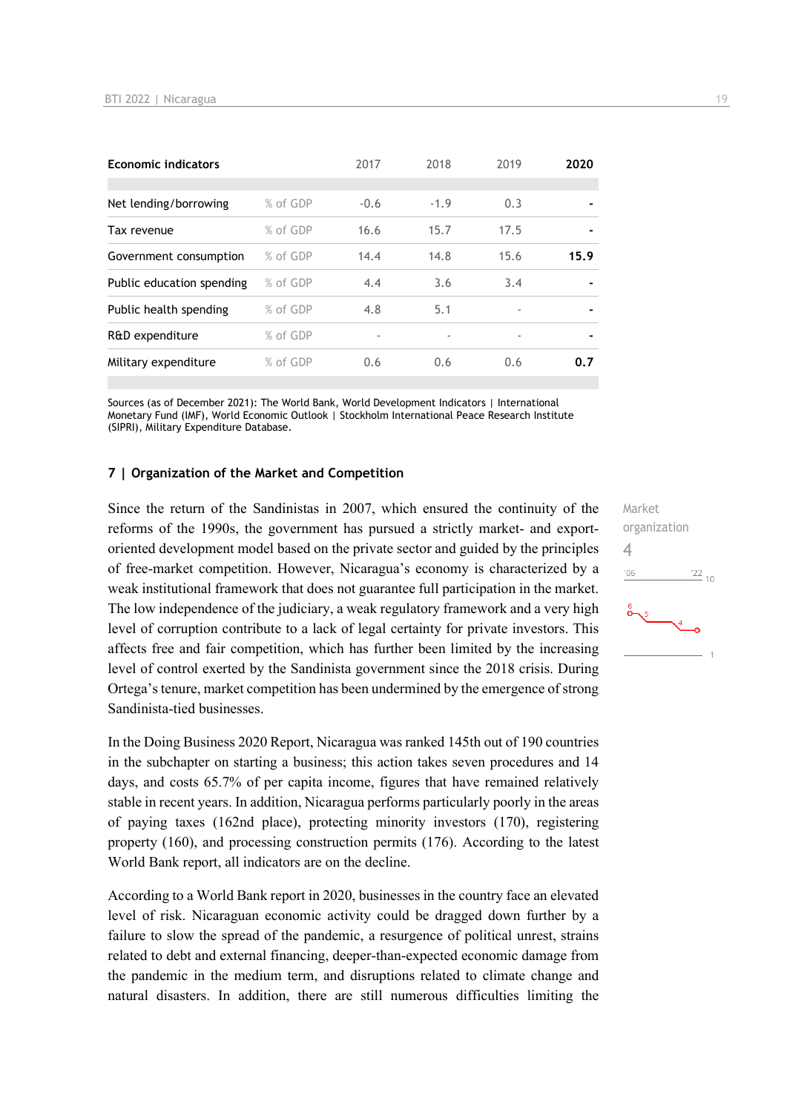| <b>Economic indicators</b> |          | 2017   | 2018   | 2019                     | 2020           |
|----------------------------|----------|--------|--------|--------------------------|----------------|
|                            |          |        |        |                          |                |
| Net lending/borrowing      | % of GDP | $-0.6$ | $-1.9$ | 0.3                      |                |
| Tax revenue                | % of GDP | 16.6   | 15.7   | 17.5                     |                |
| Government consumption     | % of GDP | 14.4   | 14.8   | 15.6                     | 15.9           |
| Public education spending  | % of GDP | 4.4    | 3.6    | 3.4                      |                |
| Public health spending     | % of GDP | 4.8    | 5.1    | ٠                        | $\blacksquare$ |
| R&D expenditure            | % of GDP |        |        | $\overline{\phantom{a}}$ |                |
| Military expenditure       | % of GDP | 0.6    | 0.6    | 0.6                      | 0.7            |

Sources (as of December 2021): The World Bank, World Development Indicators | International Monetary Fund (IMF), World Economic Outlook | Stockholm International Peace Research Institute (SIPRI), Military Expenditure Database.

#### **7 | Organization of the Market and Competition**

Since the return of the Sandinistas in 2007, which ensured the continuity of the reforms of the 1990s, the government has pursued a strictly market- and exportoriented development model based on the private sector and guided by the principles of free-market competition. However, Nicaragua's economy is characterized by a weak institutional framework that does not guarantee full participation in the market. The low independence of the judiciary, a weak regulatory framework and a very high level of corruption contribute to a lack of legal certainty for private investors. This affects free and fair competition, which has further been limited by the increasing level of control exerted by the Sandinista government since the 2018 crisis. During Ortega's tenure, market competition has been undermined by the emergence of strong Sandinista-tied businesses.

In the Doing Business 2020 Report, Nicaragua was ranked 145th out of 190 countries in the subchapter on starting a business; this action takes seven procedures and 14 days, and costs 65.7% of per capita income, figures that have remained relatively stable in recent years. In addition, Nicaragua performs particularly poorly in the areas of paying taxes (162nd place), protecting minority investors (170), registering property (160), and processing construction permits (176). According to the latest World Bank report, all indicators are on the decline.

According to a World Bank report in 2020, businesses in the country face an elevated level of risk. Nicaraguan economic activity could be dragged down further by a failure to slow the spread of the pandemic, a resurgence of political unrest, strains related to debt and external financing, deeper-than-expected economic damage from the pandemic in the medium term, and disruptions related to climate change and natural disasters. In addition, there are still numerous difficulties limiting the Market organization  $\Delta$  $-06$  $\frac{22}{10}$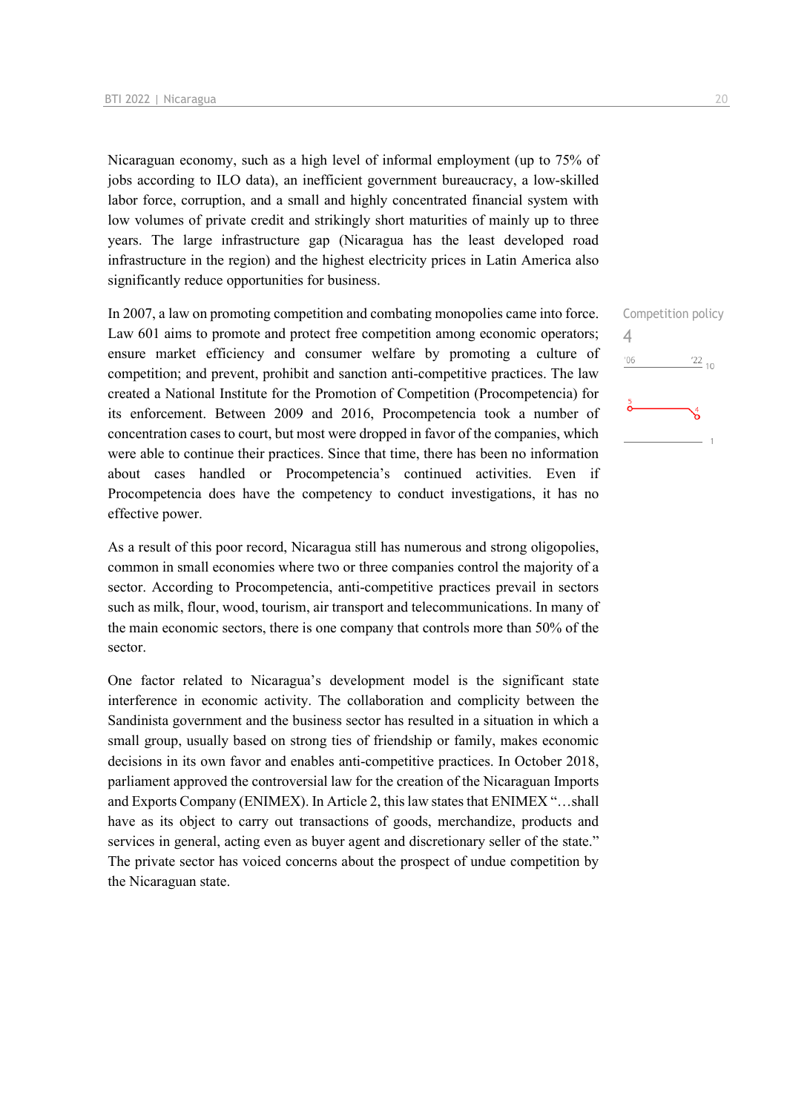Nicaraguan economy, such as a high level of informal employment (up to 75% of jobs according to ILO data), an inefficient government bureaucracy, a low-skilled labor force, corruption, and a small and highly concentrated financial system with low volumes of private credit and strikingly short maturities of mainly up to three years. The large infrastructure gap (Nicaragua has the least developed road infrastructure in the region) and the highest electricity prices in Latin America also significantly reduce opportunities for business.

In 2007, a law on promoting competition and combating monopolies came into force. Law 601 aims to promote and protect free competition among economic operators; ensure market efficiency and consumer welfare by promoting a culture of competition; and prevent, prohibit and sanction anti-competitive practices. The law created a National Institute for the Promotion of Competition (Procompetencia) for its enforcement. Between 2009 and 2016, Procompetencia took a number of concentration cases to court, but most were dropped in favor of the companies, which were able to continue their practices. Since that time, there has been no information about cases handled or Procompetencia's continued activities. Even if Procompetencia does have the competency to conduct investigations, it has no effective power.

As a result of this poor record, Nicaragua still has numerous and strong oligopolies, common in small economies where two or three companies control the majority of a sector. According to Procompetencia, anti-competitive practices prevail in sectors such as milk, flour, wood, tourism, air transport and telecommunications. In many of the main economic sectors, there is one company that controls more than 50% of the sector.

One factor related to Nicaragua's development model is the significant state interference in economic activity. The collaboration and complicity between the Sandinista government and the business sector has resulted in a situation in which a small group, usually based on strong ties of friendship or family, makes economic decisions in its own favor and enables anti-competitive practices. In October 2018, parliament approved the controversial law for the creation of the Nicaraguan Imports and Exports Company (ENIMEX). In Article 2, this law states that ENIMEX "…shall have as its object to carry out transactions of goods, merchandize, products and services in general, acting even as buyer agent and discretionary seller of the state." The private sector has voiced concerns about the prospect of undue competition by the Nicaraguan state.

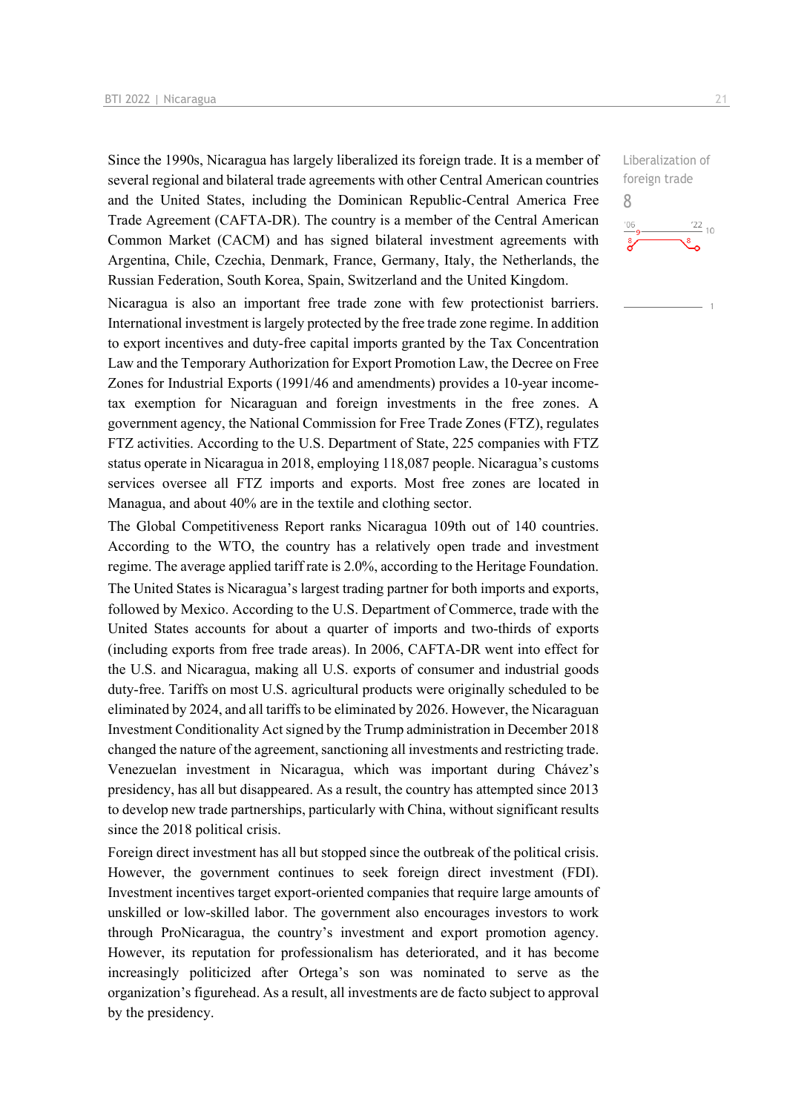Since the 1990s, Nicaragua has largely liberalized its foreign trade. It is a member of several regional and bilateral trade agreements with other Central American countries and the United States, including the Dominican Republic-Central America Free Trade Agreement (CAFTA-DR). The country is a member of the Central American Common Market (CACM) and has signed bilateral investment agreements with Argentina, Chile, Czechia, Denmark, France, Germany, Italy, the Netherlands, the Russian Federation, South Korea, Spain, Switzerland and the United Kingdom.

Nicaragua is also an important free trade zone with few protectionist barriers. International investment is largely protected by the free trade zone regime. In addition to export incentives and duty-free capital imports granted by the Tax Concentration Law and the Temporary Authorization for Export Promotion Law, the Decree on Free Zones for Industrial Exports (1991/46 and amendments) provides a 10-year incometax exemption for Nicaraguan and foreign investments in the free zones. A government agency, the National Commission for Free Trade Zones (FTZ), regulates FTZ activities. According to the U.S. Department of State, 225 companies with FTZ status operate in Nicaragua in 2018, employing 118,087 people. Nicaragua's customs services oversee all FTZ imports and exports. Most free zones are located in Managua, and about 40% are in the textile and clothing sector.

The Global Competitiveness Report ranks Nicaragua 109th out of 140 countries. According to the WTO, the country has a relatively open trade and investment regime. The average applied tariff rate is 2.0%, according to the Heritage Foundation. The United States is Nicaragua's largest trading partner for both imports and exports, followed by Mexico. According to the U.S. Department of Commerce, trade with the United States accounts for about a quarter of imports and two-thirds of exports (including exports from free trade areas). In 2006, CAFTA-DR went into effect for the U.S. and Nicaragua, making all U.S. exports of consumer and industrial goods duty-free. Tariffs on most U.S. agricultural products were originally scheduled to be eliminated by 2024, and all tariffs to be eliminated by 2026. However, the Nicaraguan Investment Conditionality Act signed by the Trump administration in December 2018 changed the nature of the agreement, sanctioning all investments and restricting trade. Venezuelan investment in Nicaragua, which was important during Chávez's presidency, has all but disappeared. As a result, the country has attempted since 2013 to develop new trade partnerships, particularly with China, without significant results since the 2018 political crisis.

Foreign direct investment has all but stopped since the outbreak of the political crisis. However, the government continues to seek foreign direct investment (FDI). Investment incentives target export-oriented companies that require large amounts of unskilled or low-skilled labor. The government also encourages investors to work through ProNicaragua, the country's investment and export promotion agency. However, its reputation for professionalism has deteriorated, and it has become increasingly politicized after Ortega's son was nominated to serve as the organization's figurehead. As a result, all investments are de facto subject to approval by the presidency.

Liberalization of foreign trade 8 $\frac{22}{10}$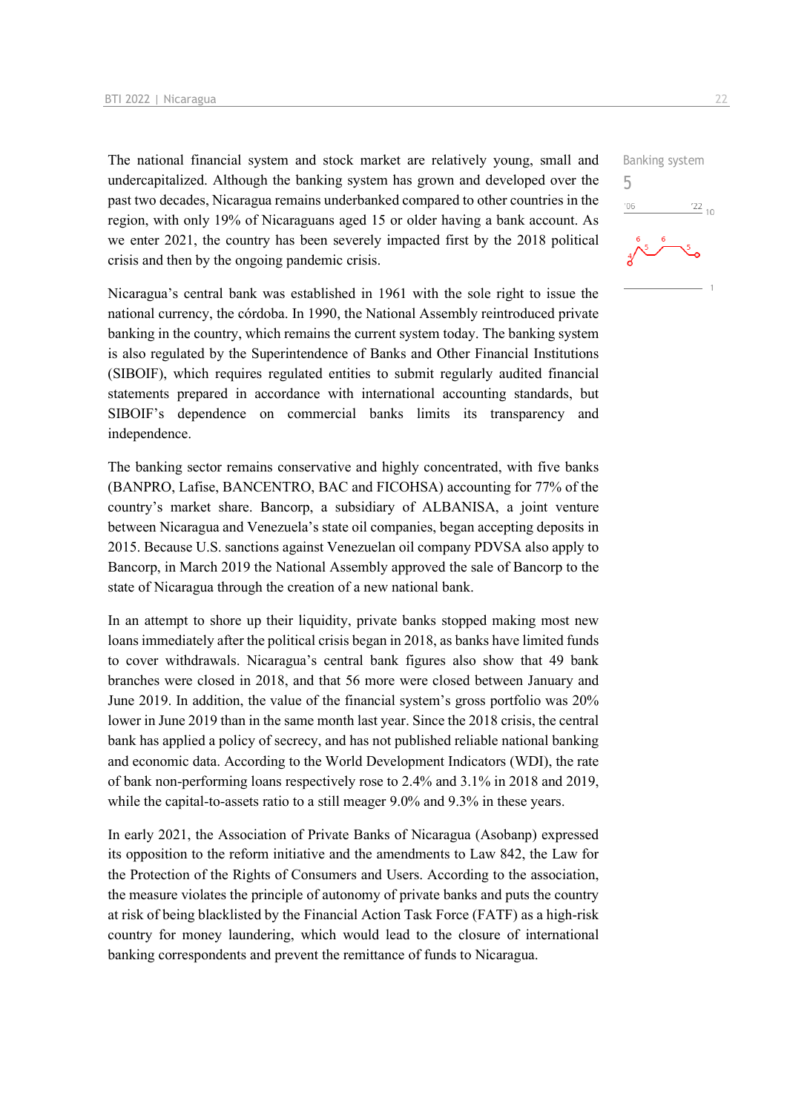The national financial system and stock market are relatively young, small and undercapitalized. Although the banking system has grown and developed over the past two decades, Nicaragua remains underbanked compared to other countries in the region, with only 19% of Nicaraguans aged 15 or older having a bank account. As we enter 2021, the country has been severely impacted first by the 2018 political crisis and then by the ongoing pandemic crisis.

Nicaragua's central bank was established in 1961 with the sole right to issue the national currency, the córdoba. In 1990, the National Assembly reintroduced private banking in the country, which remains the current system today. The banking system is also regulated by the Superintendence of Banks and Other Financial Institutions (SIBOIF), which requires regulated entities to submit regularly audited financial statements prepared in accordance with international accounting standards, but SIBOIF's dependence on commercial banks limits its transparency and independence.

The banking sector remains conservative and highly concentrated, with five banks (BANPRO, Lafise, BANCENTRO, BAC and FICOHSA) accounting for 77% of the country's market share. Bancorp, a subsidiary of ALBANISA, a joint venture between Nicaragua and Venezuela's state oil companies, began accepting deposits in 2015. Because U.S. sanctions against Venezuelan oil company PDVSA also apply to Bancorp, in March 2019 the National Assembly approved the sale of Bancorp to the state of Nicaragua through the creation of a new national bank.

In an attempt to shore up their liquidity, private banks stopped making most new loans immediately after the political crisis began in 2018, as banks have limited funds to cover withdrawals. Nicaragua's central bank figures also show that 49 bank branches were closed in 2018, and that 56 more were closed between January and June 2019. In addition, the value of the financial system's gross portfolio was 20% lower in June 2019 than in the same month last year. Since the 2018 crisis, the central bank has applied a policy of secrecy, and has not published reliable national banking and economic data. According to the World Development Indicators (WDI), the rate of bank non-performing loans respectively rose to 2.4% and 3.1% in 2018 and 2019, while the capital-to-assets ratio to a still meager 9.0% and 9.3% in these years.

In early 2021, the Association of Private Banks of Nicaragua (Asobanp) expressed its opposition to the reform initiative and the amendments to Law 842, the Law for the Protection of the Rights of Consumers and Users. According to the association, the measure violates the principle of autonomy of private banks and puts the country at risk of being blacklisted by the Financial Action Task Force (FATF) as a high-risk country for money laundering, which would lead to the closure of international banking correspondents and prevent the remittance of funds to Nicaragua.

 $\frac{22}{10}$ 

Banking system

5 $^{\prime}06$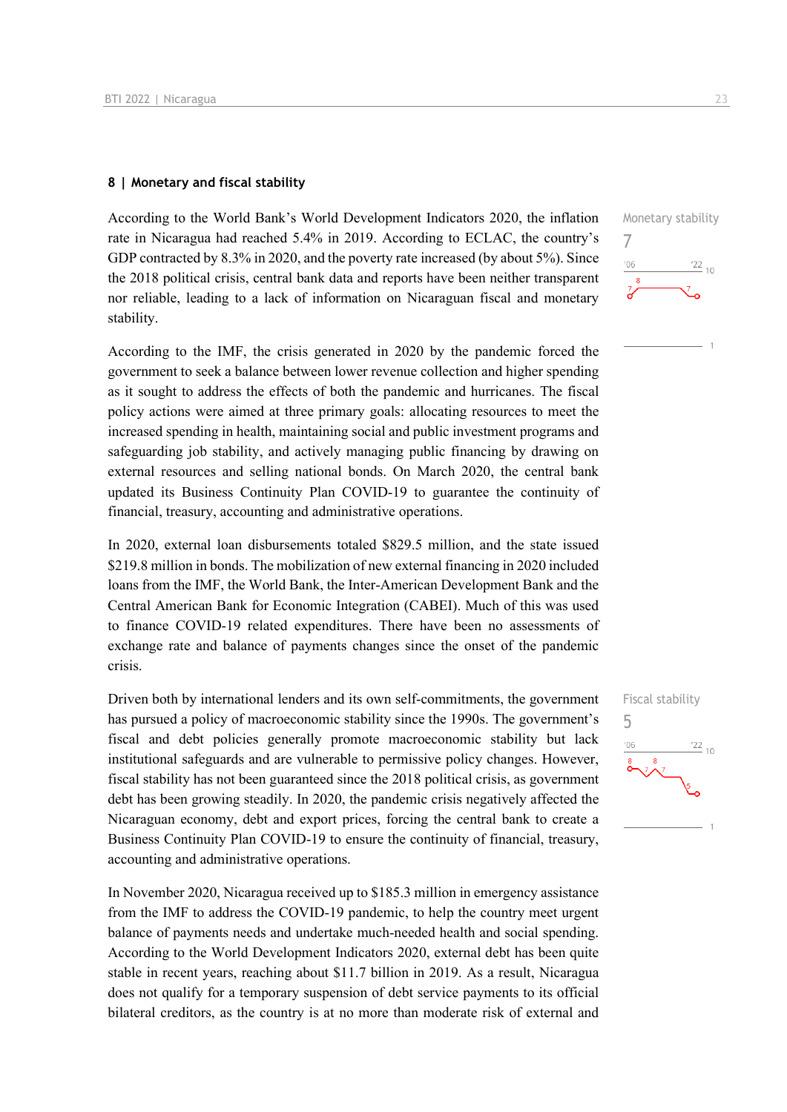#### **8 | Monetary and fiscal stability**

According to the World Bank's World Development Indicators 2020, the inflation rate in Nicaragua had reached 5.4% in 2019. According to ECLAC, the country's GDP contracted by 8.3% in 2020, and the poverty rate increased (by about 5%). Since the 2018 political crisis, central bank data and reports have been neither transparent nor reliable, leading to a lack of information on Nicaraguan fiscal and monetary stability.

According to the IMF, the crisis generated in 2020 by the pandemic forced the government to seek a balance between lower revenue collection and higher spending as it sought to address the effects of both the pandemic and hurricanes. The fiscal policy actions were aimed at three primary goals: allocating resources to meet the increased spending in health, maintaining social and public investment programs and safeguarding job stability, and actively managing public financing by drawing on external resources and selling national bonds. On March 2020, the central bank updated its Business Continuity Plan COVID-19 to guarantee the continuity of financial, treasury, accounting and administrative operations.

In 2020, external loan disbursements totaled \$829.5 million, and the state issued \$219.8 million in bonds. The mobilization of new external financing in 2020 included loans from the IMF, the World Bank, the Inter-American Development Bank and the Central American Bank for Economic Integration (CABEI). Much of this was used to finance COVID-19 related expenditures. There have been no assessments of exchange rate and balance of payments changes since the onset of the pandemic crisis.

Driven both by international lenders and its own self-commitments, the government has pursued a policy of macroeconomic stability since the 1990s. The government's fiscal and debt policies generally promote macroeconomic stability but lack institutional safeguards and are vulnerable to permissive policy changes. However, fiscal stability has not been guaranteed since the 2018 political crisis, as government debt has been growing steadily. In 2020, the pandemic crisis negatively affected the Nicaraguan economy, debt and export prices, forcing the central bank to create a Business Continuity Plan COVID-19 to ensure the continuity of financial, treasury, accounting and administrative operations.

In November 2020, Nicaragua received up to \$185.3 million in emergency assistance from the IMF to address the COVID-19 pandemic, to help the country meet urgent balance of payments needs and undertake much-needed health and social spending. According to the World Development Indicators 2020, external debt has been quite stable in recent years, reaching about \$11.7 billion in 2019. As a result, Nicaragua does not qualify for a temporary suspension of debt service payments to its official bilateral creditors, as the country is at no more than moderate risk of external and



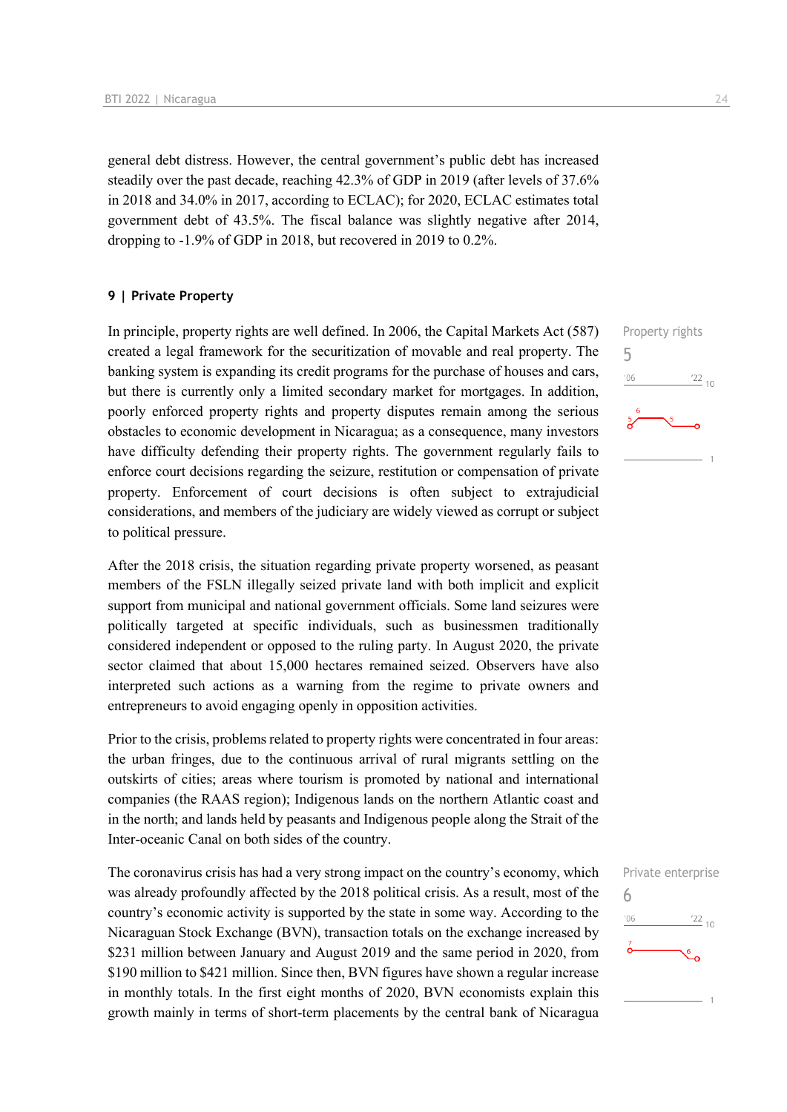general debt distress. However, the central government's public debt has increased steadily over the past decade, reaching 42.3% of GDP in 2019 (after levels of 37.6% in 2018 and 34.0% in 2017, according to ECLAC); for 2020, ECLAC estimates total government debt of 43.5%. The fiscal balance was slightly negative after 2014, dropping to -1.9% of GDP in 2018, but recovered in 2019 to 0.2%.

#### **9 | Private Property**

In principle, property rights are well defined. In 2006, the Capital Markets Act (587) created a legal framework for the securitization of movable and real property. The banking system is expanding its credit programs for the purchase of houses and cars, but there is currently only a limited secondary market for mortgages. In addition, poorly enforced property rights and property disputes remain among the serious obstacles to economic development in Nicaragua; as a consequence, many investors have difficulty defending their property rights. The government regularly fails to enforce court decisions regarding the seizure, restitution or compensation of private property. Enforcement of court decisions is often subject to extrajudicial considerations, and members of the judiciary are widely viewed as corrupt or subject to political pressure.

After the 2018 crisis, the situation regarding private property worsened, as peasant members of the FSLN illegally seized private land with both implicit and explicit support from municipal and national government officials. Some land seizures were politically targeted at specific individuals, such as businessmen traditionally considered independent or opposed to the ruling party. In August 2020, the private sector claimed that about 15,000 hectares remained seized. Observers have also interpreted such actions as a warning from the regime to private owners and entrepreneurs to avoid engaging openly in opposition activities.

Prior to the crisis, problems related to property rights were concentrated in four areas: the urban fringes, due to the continuous arrival of rural migrants settling on the outskirts of cities; areas where tourism is promoted by national and international companies (the RAAS region); Indigenous lands on the northern Atlantic coast and in the north; and lands held by peasants and Indigenous people along the Strait of the Inter-oceanic Canal on both sides of the country.

The coronavirus crisis has had a very strong impact on the country's economy, which was already profoundly affected by the 2018 political crisis. As a result, most of the country's economic activity is supported by the state in some way. According to the Nicaraguan Stock Exchange (BVN), transaction totals on the exchange increased by \$231 million between January and August 2019 and the same period in 2020, from \$190 million to \$421 million. Since then, BVN figures have shown a regular increase in monthly totals. In the first eight months of 2020, BVN economists explain this growth mainly in terms of short-term placements by the central bank of Nicaragua



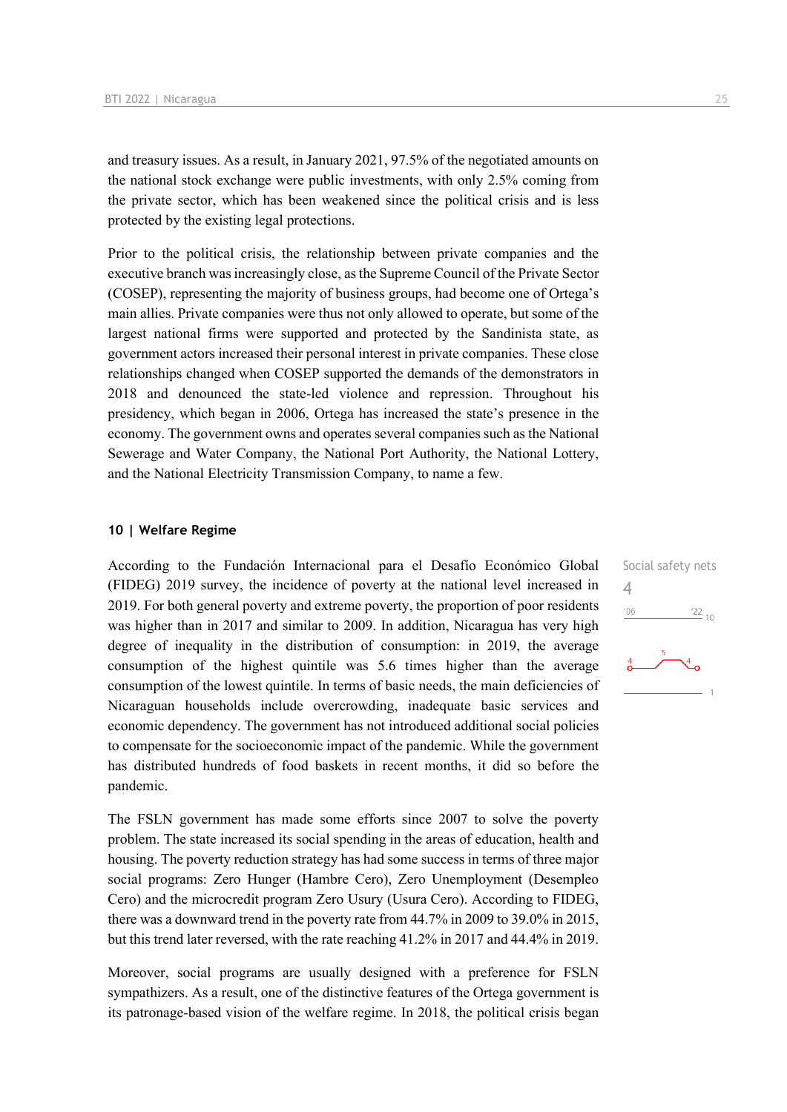and treasury issues. As a result, in January 2021, 97.5% of the negotiated amounts on the national stock exchange were public investments, with only 2.5% coming from the private sector, which has been weakened since the political crisis and is less protected by the existing legal protections.

Prior to the political crisis, the relationship between private companies and the executive branch was increasingly close, as the Supreme Council of the Private Sector (COSEP), representing the majority of business groups, had become one of Ortega's main allies. Private companies were thus not only allowed to operate, but some of the largest national firms were supported and protected by the Sandinista state, as government actors increased their personal interest in private companies. These close relationships changed when COSEP supported the demands of the demonstrators in 2018 and denounced the state-led violence and repression. Throughout his presidency, which began in 2006, Ortega has increased the state's presence in the economy. The government owns and operates several companies such as the National Sewerage and Water Company, the National Port Authority, the National Lottery, and the National Electricity Transmission Company, to name a few.

#### **10 | Welfare Regime**

According to the Fundación Internacional para el Desafío Económico Global (FIDEG) 2019 survey, the incidence of poverty at the national level increased in 2019. For both general poverty and extreme poverty, the proportion of poor residents was higher than in 2017 and similar to 2009. In addition, Nicaragua has very high degree of inequality in the distribution of consumption: in 2019, the average consumption of the highest quintile was 5.6 times higher than the average consumption of the lowest quintile. In terms of basic needs, the main deficiencies of Nicaraguan households include overcrowding, inadequate basic services and economic dependency. The government has not introduced additional social policies to compensate for the socioeconomic impact of the pandemic. While the government has distributed hundreds of food baskets in recent months, it did so before the pandemic.

The FSLN government has made some efforts since 2007 to solve the poverty problem. The state increased its social spending in the areas of education, health and housing. The poverty reduction strategy has had some success in terms of three major social programs: Zero Hunger (Hambre Cero), Zero Unemployment (Desempleo Cero) and the microcredit program Zero Usury (Usura Cero). According to FIDEG, there was a downward trend in the poverty rate from 44.7% in 2009 to 39.0% in 2015, but this trend later reversed, with the rate reaching 41.2% in 2017 and 44.4% in 2019.

Moreover, social programs are usually designed with a preference for FSLN sympathizers. As a result, one of the distinctive features of the Ortega government is its patronage-based vision of the welfare regime. In 2018, the political crisis began

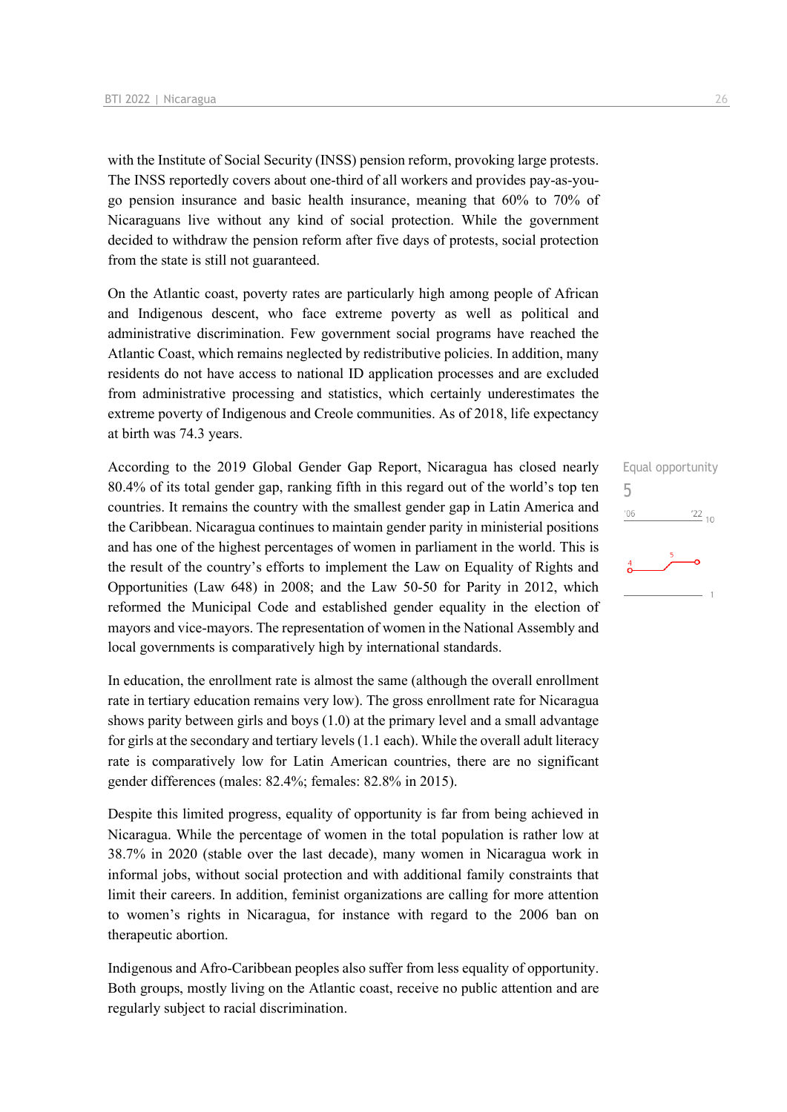with the Institute of Social Security (INSS) pension reform, provoking large protests. The INSS reportedly covers about one-third of all workers and provides pay-as-yougo pension insurance and basic health insurance, meaning that 60% to 70% of Nicaraguans live without any kind of social protection. While the government decided to withdraw the pension reform after five days of protests, social protection from the state is still not guaranteed.

On the Atlantic coast, poverty rates are particularly high among people of African and Indigenous descent, who face extreme poverty as well as political and administrative discrimination. Few government social programs have reached the Atlantic Coast, which remains neglected by redistributive policies. In addition, many residents do not have access to national ID application processes and are excluded from administrative processing and statistics, which certainly underestimates the extreme poverty of Indigenous and Creole communities. As of 2018, life expectancy at birth was 74.3 years.

According to the 2019 Global Gender Gap Report, Nicaragua has closed nearly 80.4% of its total gender gap, ranking fifth in this regard out of the world's top ten countries. It remains the country with the smallest gender gap in Latin America and the Caribbean. Nicaragua continues to maintain gender parity in ministerial positions and has one of the highest percentages of women in parliament in the world. This is the result of the country's efforts to implement the Law on Equality of Rights and Opportunities (Law 648) in 2008; and the Law 50-50 for Parity in 2012, which reformed the Municipal Code and established gender equality in the election of mayors and vice-mayors. The representation of women in the National Assembly and local governments is comparatively high by international standards.

In education, the enrollment rate is almost the same (although the overall enrollment rate in tertiary education remains very low). The gross enrollment rate for Nicaragua shows parity between girls and boys (1.0) at the primary level and a small advantage for girls at the secondary and tertiary levels (1.1 each). While the overall adult literacy rate is comparatively low for Latin American countries, there are no significant gender differences (males: 82.4%; females: 82.8% in 2015).

Despite this limited progress, equality of opportunity is far from being achieved in Nicaragua. While the percentage of women in the total population is rather low at 38.7% in 2020 (stable over the last decade), many women in Nicaragua work in informal jobs, without social protection and with additional family constraints that limit their careers. In addition, feminist organizations are calling for more attention to women's rights in Nicaragua, for instance with regard to the 2006 ban on therapeutic abortion.

Indigenous and Afro-Caribbean peoples also suffer from less equality of opportunity. Both groups, mostly living on the Atlantic coast, receive no public attention and are regularly subject to racial discrimination.

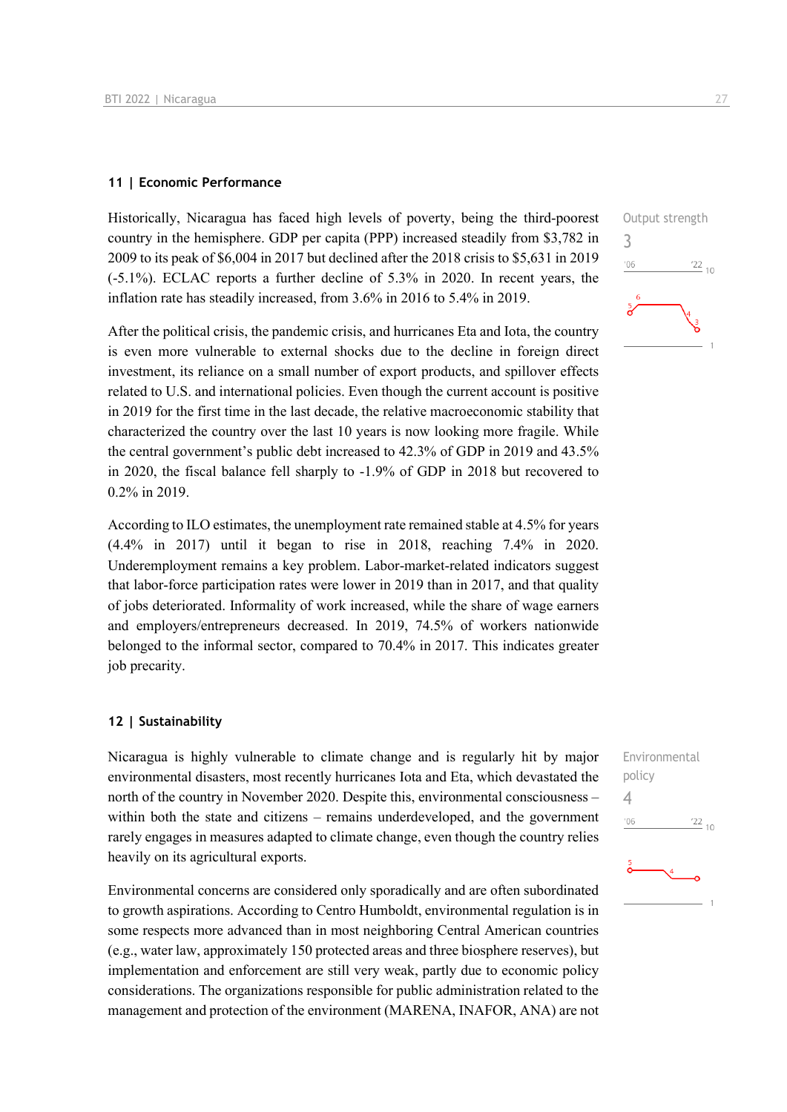#### **11 | Economic Performance**

Historically, Nicaragua has faced high levels of poverty, being the third-poorest country in the hemisphere. GDP per capita (PPP) increased steadily from \$3,782 in 2009 to its peak of \$6,004 in 2017 but declined after the 2018 crisis to \$5,631 in 2019 (-5.1%). ECLAC reports a further decline of 5.3% in 2020. In recent years, the inflation rate has steadily increased, from 3.6% in 2016 to 5.4% in 2019.

After the political crisis, the pandemic crisis, and hurricanes Eta and Iota, the country is even more vulnerable to external shocks due to the decline in foreign direct investment, its reliance on a small number of export products, and spillover effects related to U.S. and international policies. Even though the current account is positive in 2019 for the first time in the last decade, the relative macroeconomic stability that characterized the country over the last 10 years is now looking more fragile. While the central government's public debt increased to 42.3% of GDP in 2019 and 43.5% in 2020, the fiscal balance fell sharply to -1.9% of GDP in 2018 but recovered to 0.2% in 2019.

According to ILO estimates, the unemployment rate remained stable at 4.5% for years (4.4% in 2017) until it began to rise in 2018, reaching 7.4% in 2020. Underemployment remains a key problem. Labor-market-related indicators suggest that labor-force participation rates were lower in 2019 than in 2017, and that quality of jobs deteriorated. Informality of work increased, while the share of wage earners and employers/entrepreneurs decreased. In 2019, 74.5% of workers nationwide belonged to the informal sector, compared to 70.4% in 2017. This indicates greater job precarity.

#### **12 | Sustainability**

Nicaragua is highly vulnerable to climate change and is regularly hit by major environmental disasters, most recently hurricanes Iota and Eta, which devastated the north of the country in November 2020. Despite this, environmental consciousness – within both the state and citizens – remains underdeveloped, and the government rarely engages in measures adapted to climate change, even though the country relies heavily on its agricultural exports.

Environmental concerns are considered only sporadically and are often subordinated to growth aspirations. According to Centro Humboldt, environmental regulation is in some respects more advanced than in most neighboring Central American countries (e.g., water law, approximately 150 protected areas and three biosphere reserves), but implementation and enforcement are still very weak, partly due to economic policy considerations. The organizations responsible for public administration related to the management and protection of the environment (MARENA, INAFOR, ANA) are not



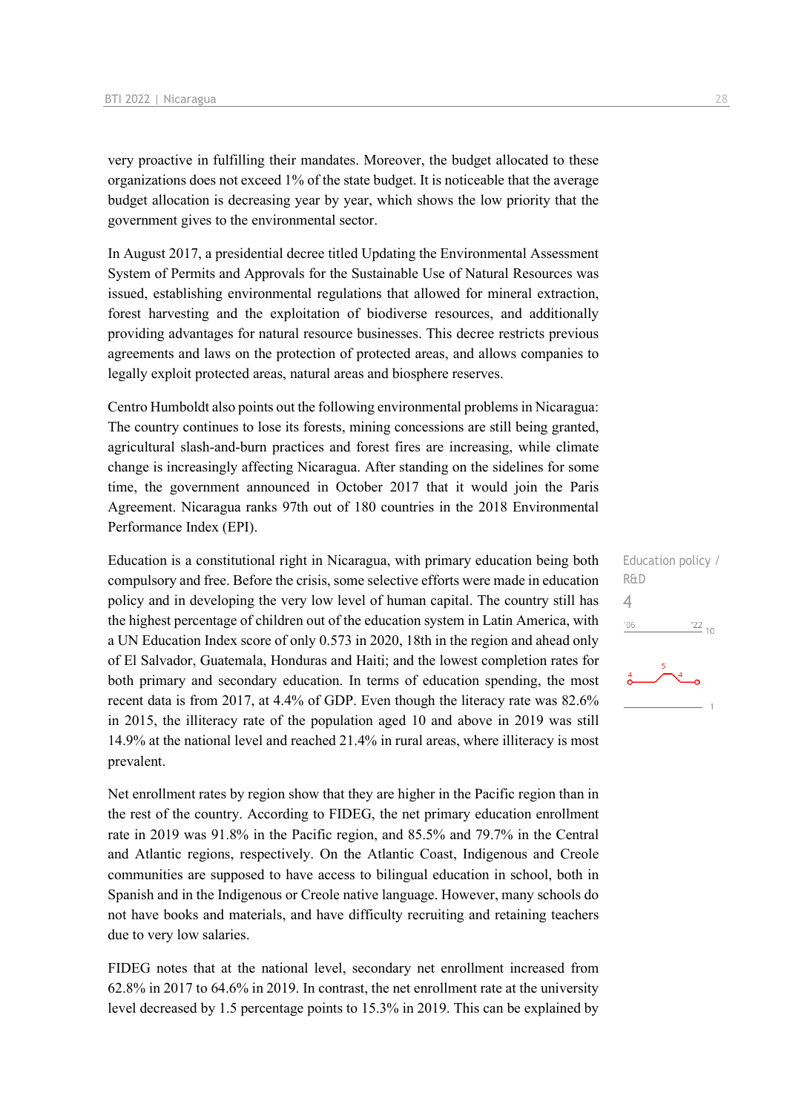very proactive in fulfilling their mandates. Moreover, the budget allocated to these organizations does not exceed 1% of the state budget. It is noticeable that the average budget allocation is decreasing year by year, which shows the low priority that the government gives to the environmental sector.

In August 2017, a presidential decree titled Updating the Environmental Assessment System of Permits and Approvals for the Sustainable Use of Natural Resources was issued, establishing environmental regulations that allowed for mineral extraction, forest harvesting and the exploitation of biodiverse resources, and additionally providing advantages for natural resource businesses. This decree restricts previous agreements and laws on the protection of protected areas, and allows companies to legally exploit protected areas, natural areas and biosphere reserves.

Centro Humboldt also points out the following environmental problems in Nicaragua: The country continues to lose its forests, mining concessions are still being granted, agricultural slash-and-burn practices and forest fires are increasing, while climate change is increasingly affecting Nicaragua. After standing on the sidelines for some time, the government announced in October 2017 that it would join the Paris Agreement. Nicaragua ranks 97th out of 180 countries in the 2018 Environmental Performance Index (EPI).

Education is a constitutional right in Nicaragua, with primary education being both compulsory and free. Before the crisis, some selective efforts were made in education policy and in developing the very low level of human capital. The country still has the highest percentage of children out of the education system in Latin America, with a UN Education Index score of only 0.573 in 2020, 18th in the region and ahead only of El Salvador, Guatemala, Honduras and Haiti; and the lowest completion rates for both primary and secondary education. In terms of education spending, the most recent data is from 2017, at 4.4% of GDP. Even though the literacy rate was 82.6% in 2015, the illiteracy rate of the population aged 10 and above in 2019 was still 14.9% at the national level and reached 21.4% in rural areas, where illiteracy is most prevalent.

Net enrollment rates by region show that they are higher in the Pacific region than in the rest of the country. According to FIDEG, the net primary education enrollment rate in 2019 was 91.8% in the Pacific region, and 85.5% and 79.7% in the Central and Atlantic regions, respectively. On the Atlantic Coast, Indigenous and Creole communities are supposed to have access to bilingual education in school, both in Spanish and in the Indigenous or Creole native language. However, many schools do not have books and materials, and have difficulty recruiting and retaining teachers due to very low salaries.

FIDEG notes that at the national level, secondary net enrollment increased from 62.8% in 2017 to 64.6% in 2019. In contrast, the net enrollment rate at the university level decreased by 1.5 percentage points to 15.3% in 2019. This can be explained by

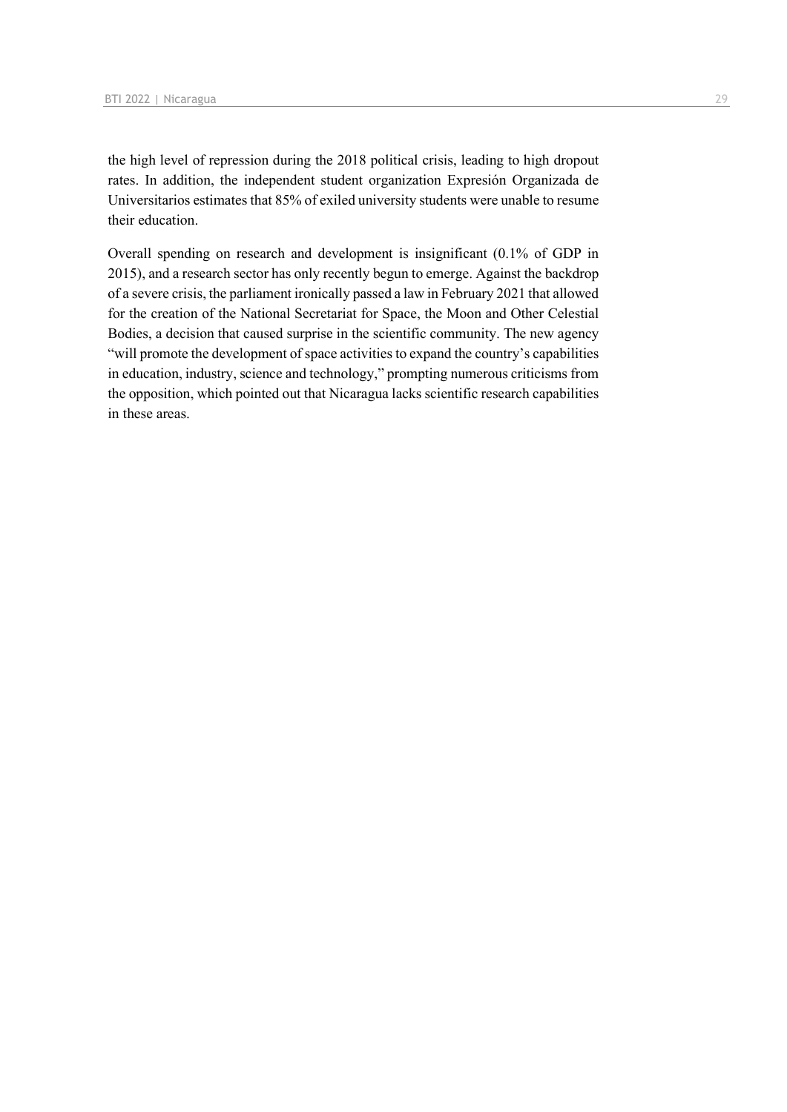the high level of repression during the 2018 political crisis, leading to high dropout rates. In addition, the independent student organization Expresión Organizada de Universitarios estimates that 85% of exiled university students were unable to resume their education.

Overall spending on research and development is insignificant (0.1% of GDP in 2015), and a research sector has only recently begun to emerge. Against the backdrop of a severe crisis, the parliament ironically passed a law in February 2021 that allowed for the creation of the National Secretariat for Space, the Moon and Other Celestial Bodies, a decision that caused surprise in the scientific community. The new agency "will promote the development of space activities to expand the country's capabilities in education, industry, science and technology," prompting numerous criticisms from the opposition, which pointed out that Nicaragua lacks scientific research capabilities in these areas.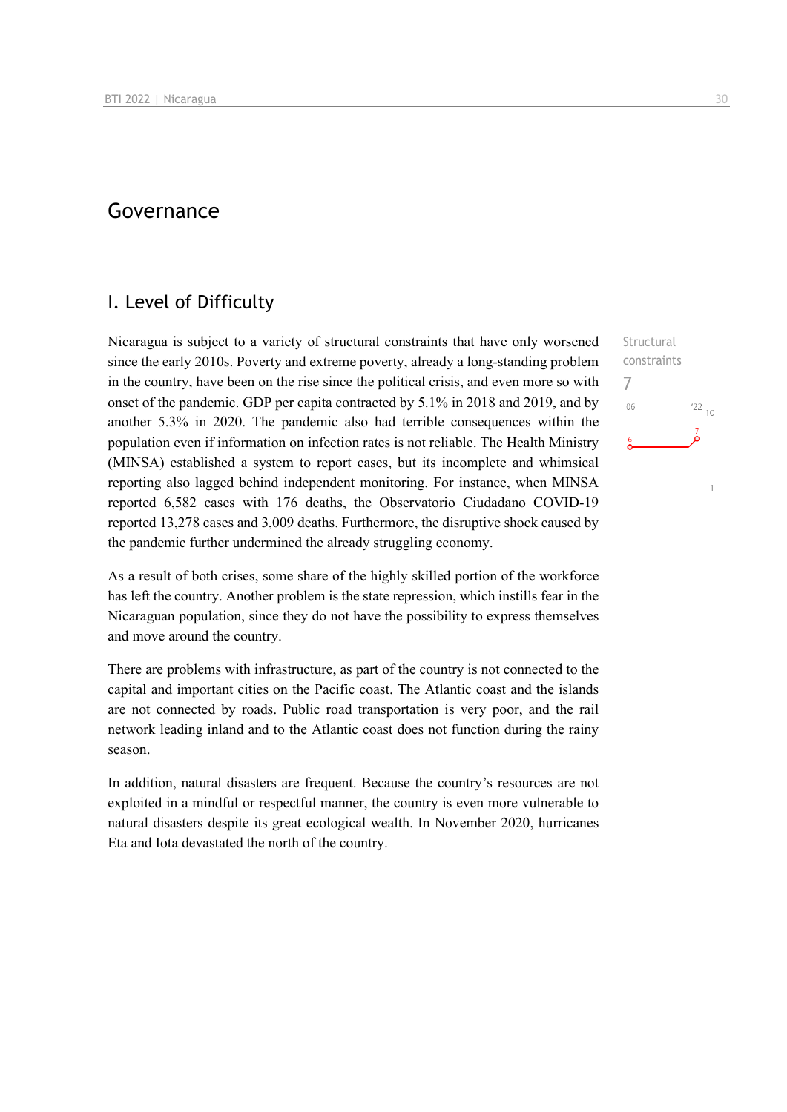## Governance

## I. Level of Difficulty

Nicaragua is subject to a variety of structural constraints that have only worsened since the early 2010s. Poverty and extreme poverty, already a long-standing problem in the country, have been on the rise since the political crisis, and even more so with onset of the pandemic. GDP per capita contracted by 5.1% in 2018 and 2019, and by another 5.3% in 2020. The pandemic also had terrible consequences within the population even if information on infection rates is not reliable. The Health Ministry (MINSA) established a system to report cases, but its incomplete and whimsical reporting also lagged behind independent monitoring. For instance, when MINSA reported 6,582 cases with 176 deaths, the Observatorio Ciudadano COVID-19 reported 13,278 cases and 3,009 deaths. Furthermore, the disruptive shock caused by the pandemic further undermined the already struggling economy.

As a result of both crises, some share of the highly skilled portion of the workforce has left the country. Another problem is the state repression, which instills fear in the Nicaraguan population, since they do not have the possibility to express themselves and move around the country.

There are problems with infrastructure, as part of the country is not connected to the capital and important cities on the Pacific coast. The Atlantic coast and the islands are not connected by roads. Public road transportation is very poor, and the rail network leading inland and to the Atlantic coast does not function during the rainy season.

In addition, natural disasters are frequent. Because the country's resources are not exploited in a mindful or respectful manner, the country is even more vulnerable to natural disasters despite its great ecological wealth. In November 2020, hurricanes Eta and Iota devastated the north of the country.

Structural constraints 7 $106$  $^{22}$  10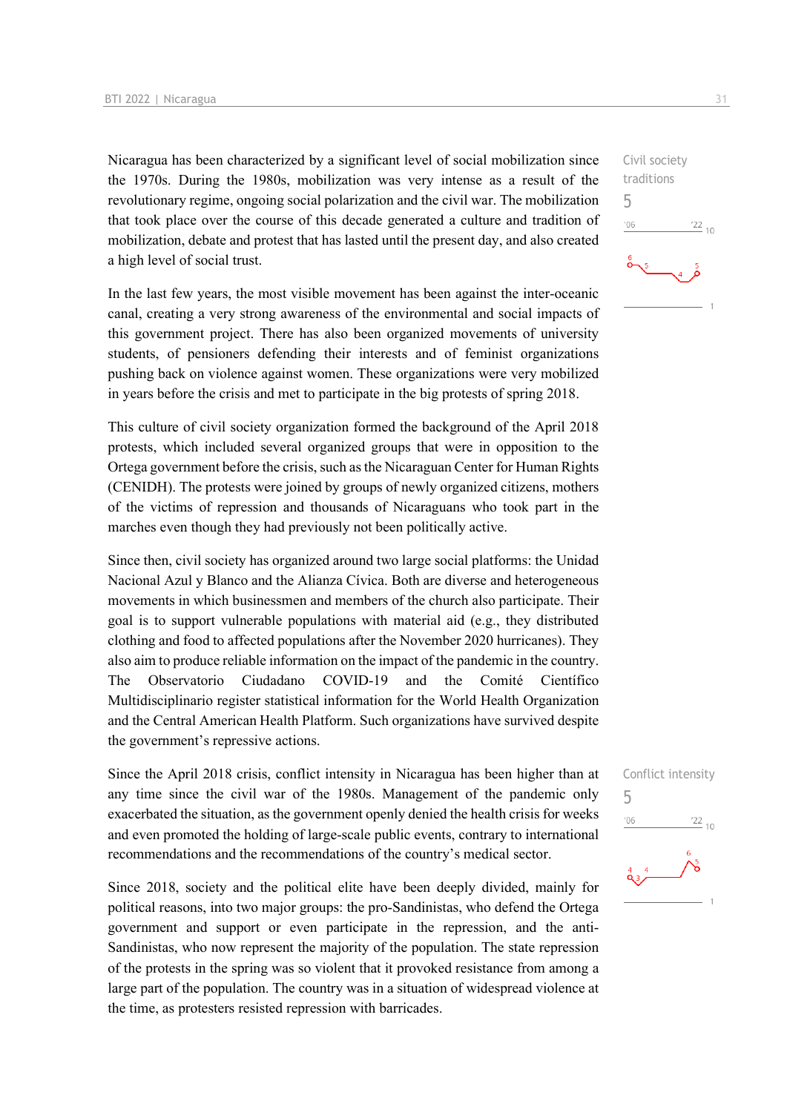Nicaragua has been characterized by a significant level of social mobilization since the 1970s. During the 1980s, mobilization was very intense as a result of the revolutionary regime, ongoing social polarization and the civil war. The mobilization that took place over the course of this decade generated a culture and tradition of mobilization, debate and protest that has lasted until the present day, and also created a high level of social trust.

In the last few years, the most visible movement has been against the inter-oceanic canal, creating a very strong awareness of the environmental and social impacts of this government project. There has also been organized movements of university students, of pensioners defending their interests and of feminist organizations pushing back on violence against women. These organizations were very mobilized in years before the crisis and met to participate in the big protests of spring 2018.

This culture of civil society organization formed the background of the April 2018 protests, which included several organized groups that were in opposition to the Ortega government before the crisis, such as the Nicaraguan Center for Human Rights (CENIDH). The protests were joined by groups of newly organized citizens, mothers of the victims of repression and thousands of Nicaraguans who took part in the marches even though they had previously not been politically active.

Since then, civil society has organized around two large social platforms: the Unidad Nacional Azul y Blanco and the Alianza Cívica. Both are diverse and heterogeneous movements in which businessmen and members of the church also participate. Their goal is to support vulnerable populations with material aid (e.g., they distributed clothing and food to affected populations after the November 2020 hurricanes). They also aim to produce reliable information on the impact of the pandemic in the country. The Observatorio Ciudadano COVID-19 and the Comité Científico Multidisciplinario register statistical information for the World Health Organization and the Central American Health Platform. Such organizations have survived despite the government's repressive actions.

Since the April 2018 crisis, conflict intensity in Nicaragua has been higher than at any time since the civil war of the 1980s. Management of the pandemic only exacerbated the situation, as the government openly denied the health crisis for weeks and even promoted the holding of large-scale public events, contrary to international recommendations and the recommendations of the country's medical sector.

Since 2018, society and the political elite have been deeply divided, mainly for political reasons, into two major groups: the pro-Sandinistas, who defend the Ortega government and support or even participate in the repression, and the anti-Sandinistas, who now represent the majority of the population. The state repression of the protests in the spring was so violent that it provoked resistance from among a large part of the population. The country was in a situation of widespread violence at the time, as protesters resisted repression with barricades.

Civil society traditions 5  $-06$  $^{22}$  10

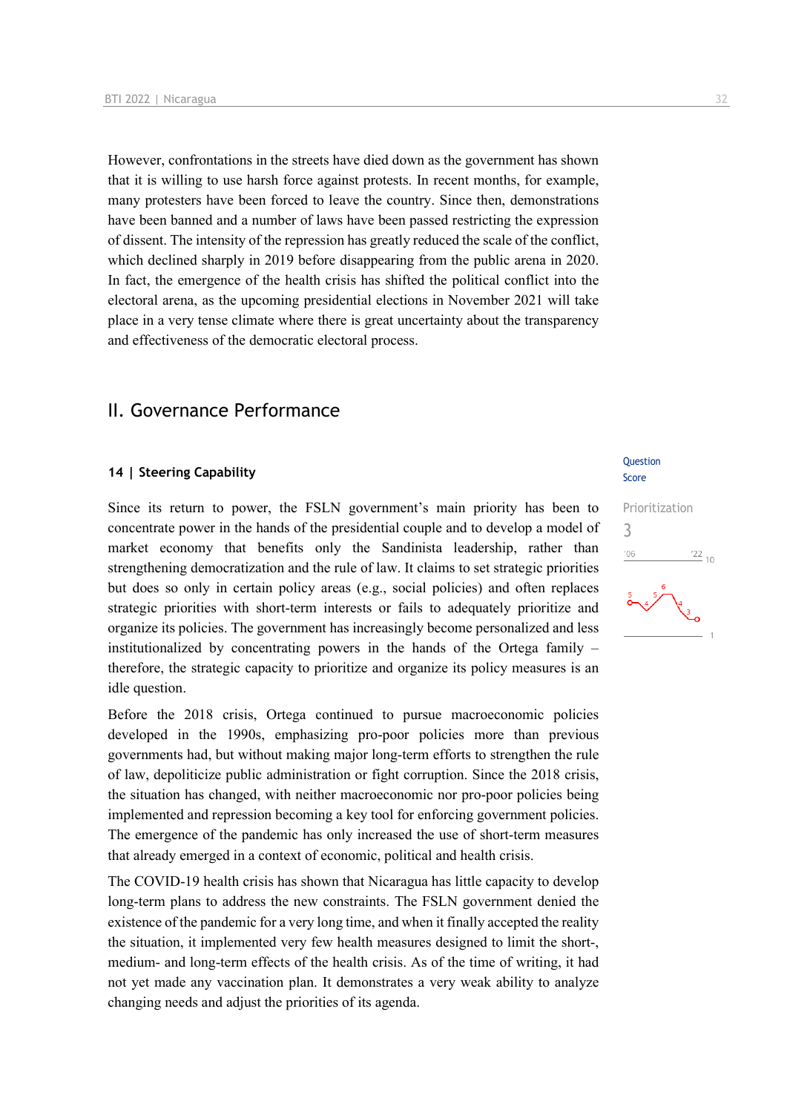However, confrontations in the streets have died down as the government has shown that it is willing to use harsh force against protests. In recent months, for example, many protesters have been forced to leave the country. Since then, demonstrations have been banned and a number of laws have been passed restricting the expression of dissent. The intensity of the repression has greatly reduced the scale of the conflict, which declined sharply in 2019 before disappearing from the public arena in 2020. In fact, the emergence of the health crisis has shifted the political conflict into the electoral arena, as the upcoming presidential elections in November 2021 will take place in a very tense climate where there is great uncertainty about the transparency and effectiveness of the democratic electoral process.

### II. Governance Performance

#### **14 | Steering Capability**

Since its return to power, the FSLN government's main priority has been to concentrate power in the hands of the presidential couple and to develop a model of market economy that benefits only the Sandinista leadership, rather than strengthening democratization and the rule of law. It claims to set strategic priorities but does so only in certain policy areas (e.g., social policies) and often replaces strategic priorities with short-term interests or fails to adequately prioritize and organize its policies. The government has increasingly become personalized and less institutionalized by concentrating powers in the hands of the Ortega family – therefore, the strategic capacity to prioritize and organize its policy measures is an idle question.

Before the 2018 crisis, Ortega continued to pursue macroeconomic policies developed in the 1990s, emphasizing pro-poor policies more than previous governments had, but without making major long-term efforts to strengthen the rule of law, depoliticize public administration or fight corruption. Since the 2018 crisis, the situation has changed, with neither macroeconomic nor pro-poor policies being implemented and repression becoming a key tool for enforcing government policies. The emergence of the pandemic has only increased the use of short-term measures that already emerged in a context of economic, political and health crisis.

The COVID-19 health crisis has shown that Nicaragua has little capacity to develop long-term plans to address the new constraints. The FSLN government denied the existence of the pandemic for a very long time, and when it finally accepted the reality the situation, it implemented very few health measures designed to limit the short-, medium- and long-term effects of the health crisis. As of the time of writing, it had not yet made any vaccination plan. It demonstrates a very weak ability to analyze changing needs and adjust the priorities of its agenda.

#### **Ouestion** Score

## Prioritization 3 $\frac{22}{10}$  $106$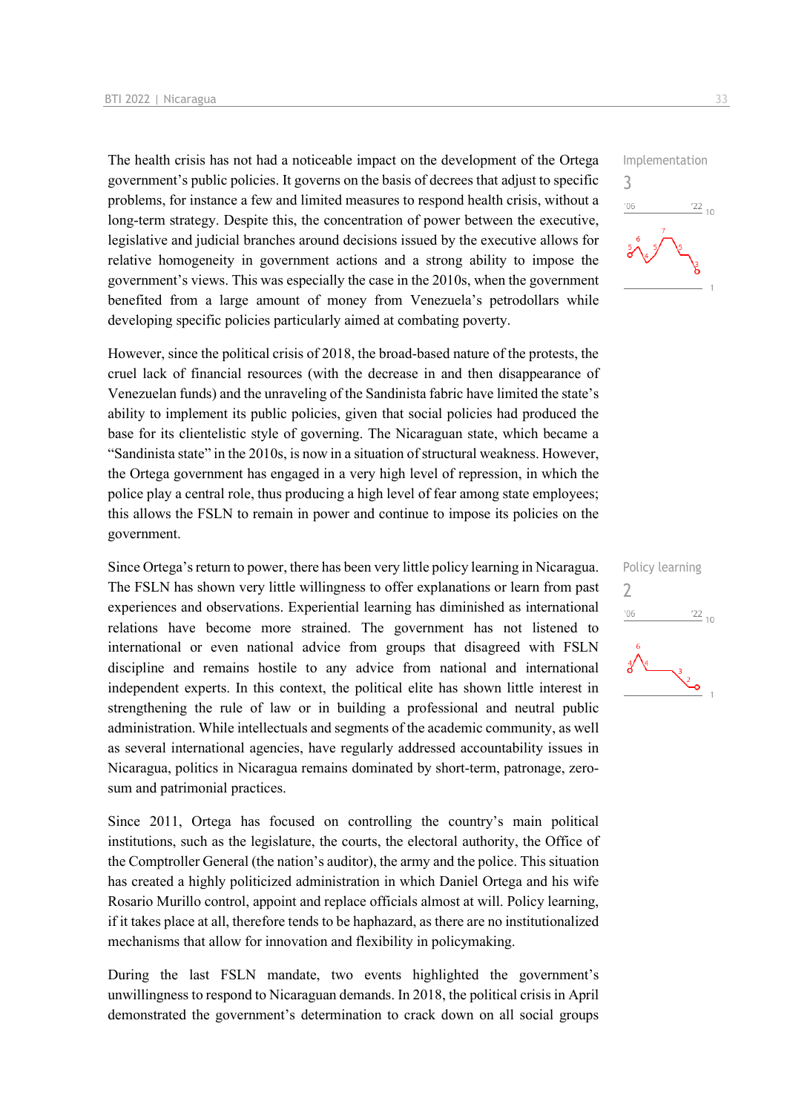The health crisis has not had a noticeable impact on the development of the Ortega government's public policies. It governs on the basis of decrees that adjust to specific problems, for instance a few and limited measures to respond health crisis, without a long-term strategy. Despite this, the concentration of power between the executive, legislative and judicial branches around decisions issued by the executive allows for relative homogeneity in government actions and a strong ability to impose the government's views. This was especially the case in the 2010s, when the government benefited from a large amount of money from Venezuela's petrodollars while developing specific policies particularly aimed at combating poverty.

However, since the political crisis of 2018, the broad-based nature of the protests, the cruel lack of financial resources (with the decrease in and then disappearance of Venezuelan funds) and the unraveling of the Sandinista fabric have limited the state's ability to implement its public policies, given that social policies had produced the base for its clientelistic style of governing. The Nicaraguan state, which became a "Sandinista state" in the 2010s, is now in a situation of structural weakness. However, the Ortega government has engaged in a very high level of repression, in which the police play a central role, thus producing a high level of fear among state employees; this allows the FSLN to remain in power and continue to impose its policies on the government.

Since Ortega's return to power, there has been very little policy learning in Nicaragua. The FSLN has shown very little willingness to offer explanations or learn from past experiences and observations. Experiential learning has diminished as international relations have become more strained. The government has not listened to international or even national advice from groups that disagreed with FSLN discipline and remains hostile to any advice from national and international independent experts. In this context, the political elite has shown little interest in strengthening the rule of law or in building a professional and neutral public administration. While intellectuals and segments of the academic community, as well as several international agencies, have regularly addressed accountability issues in Nicaragua, politics in Nicaragua remains dominated by short-term, patronage, zerosum and patrimonial practices.

Since 2011, Ortega has focused on controlling the country's main political institutions, such as the legislature, the courts, the electoral authority, the Office of the Comptroller General (the nation's auditor), the army and the police. This situation has created a highly politicized administration in which Daniel Ortega and his wife Rosario Murillo control, appoint and replace officials almost at will. Policy learning, if it takes place at all, therefore tends to be haphazard, as there are no institutionalized mechanisms that allow for innovation and flexibility in policymaking.

During the last FSLN mandate, two events highlighted the government's unwillingness to respond to Nicaraguan demands. In 2018, the political crisis in April demonstrated the government's determination to crack down on all social groups



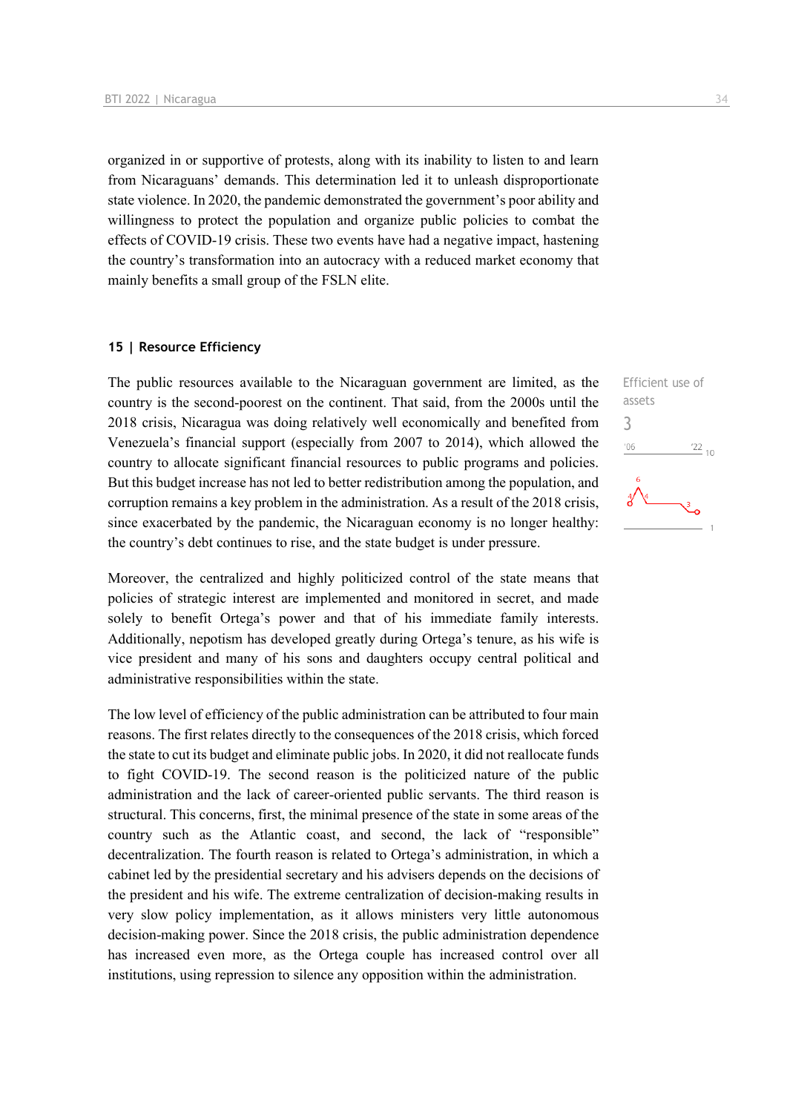organized in or supportive of protests, along with its inability to listen to and learn from Nicaraguans' demands. This determination led it to unleash disproportionate state violence. In 2020, the pandemic demonstrated the government's poor ability and willingness to protect the population and organize public policies to combat the effects of COVID-19 crisis. These two events have had a negative impact, hastening the country's transformation into an autocracy with a reduced market economy that mainly benefits a small group of the FSLN elite.

#### **15 | Resource Efficiency**

The public resources available to the Nicaraguan government are limited, as the country is the second-poorest on the continent. That said, from the 2000s until the 2018 crisis, Nicaragua was doing relatively well economically and benefited from Venezuela's financial support (especially from 2007 to 2014), which allowed the country to allocate significant financial resources to public programs and policies. But this budget increase has not led to better redistribution among the population, and corruption remains a key problem in the administration. As a result of the 2018 crisis, since exacerbated by the pandemic, the Nicaraguan economy is no longer healthy: the country's debt continues to rise, and the state budget is under pressure.

Moreover, the centralized and highly politicized control of the state means that policies of strategic interest are implemented and monitored in secret, and made solely to benefit Ortega's power and that of his immediate family interests. Additionally, nepotism has developed greatly during Ortega's tenure, as his wife is vice president and many of his sons and daughters occupy central political and administrative responsibilities within the state.

The low level of efficiency of the public administration can be attributed to four main reasons. The first relates directly to the consequences of the 2018 crisis, which forced the state to cut its budget and eliminate public jobs. In 2020, it did not reallocate funds to fight COVID-19. The second reason is the politicized nature of the public administration and the lack of career-oriented public servants. The third reason is structural. This concerns, first, the minimal presence of the state in some areas of the country such as the Atlantic coast, and second, the lack of "responsible" decentralization. The fourth reason is related to Ortega's administration, in which a cabinet led by the presidential secretary and his advisers depends on the decisions of the president and his wife. The extreme centralization of decision-making results in very slow policy implementation, as it allows ministers very little autonomous decision-making power. Since the 2018 crisis, the public administration dependence has increased even more, as the Ortega couple has increased control over all institutions, using repression to silence any opposition within the administration.

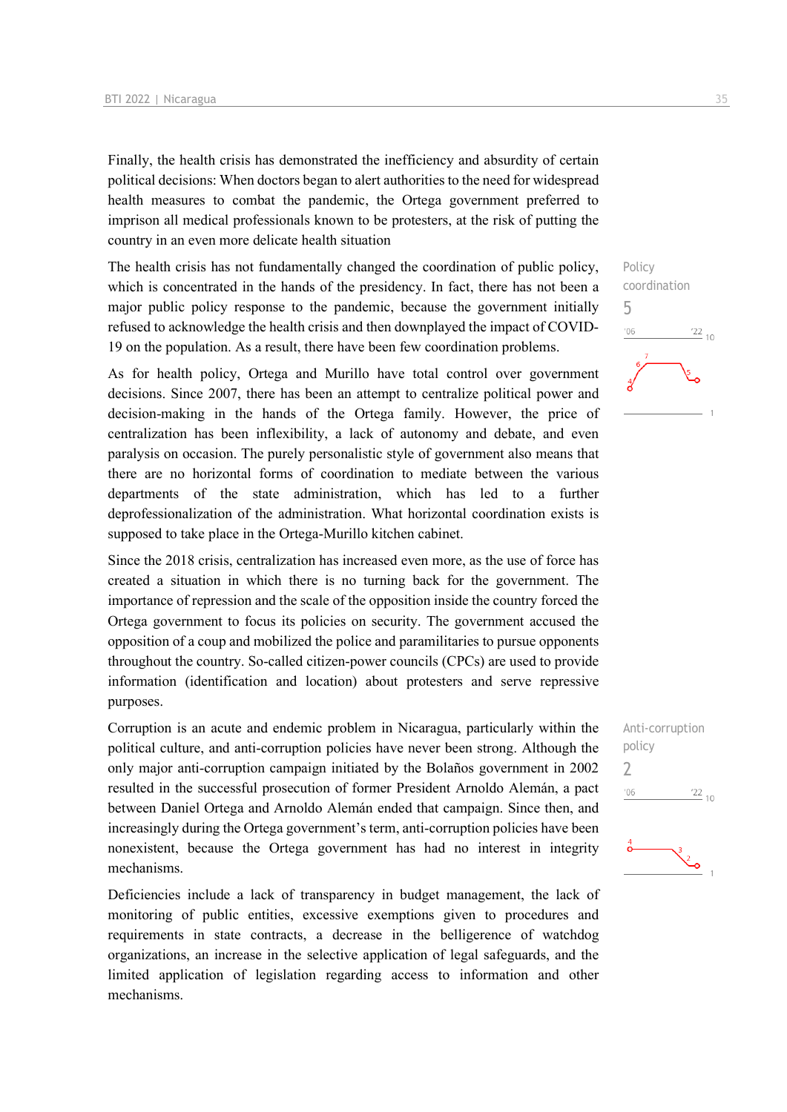Finally, the health crisis has demonstrated the inefficiency and absurdity of certain political decisions: When doctors began to alert authorities to the need for widespread health measures to combat the pandemic, the Ortega government preferred to imprison all medical professionals known to be protesters, at the risk of putting the country in an even more delicate health situation

The health crisis has not fundamentally changed the coordination of public policy, which is concentrated in the hands of the presidency. In fact, there has not been a major public policy response to the pandemic, because the government initially refused to acknowledge the health crisis and then downplayed the impact of COVID-19 on the population. As a result, there have been few coordination problems.

As for health policy, Ortega and Murillo have total control over government decisions. Since 2007, there has been an attempt to centralize political power and decision-making in the hands of the Ortega family. However, the price of centralization has been inflexibility, a lack of autonomy and debate, and even paralysis on occasion. The purely personalistic style of government also means that there are no horizontal forms of coordination to mediate between the various departments of the state administration, which has led to a further deprofessionalization of the administration. What horizontal coordination exists is supposed to take place in the Ortega-Murillo kitchen cabinet.

Since the 2018 crisis, centralization has increased even more, as the use of force has created a situation in which there is no turning back for the government. The importance of repression and the scale of the opposition inside the country forced the Ortega government to focus its policies on security. The government accused the opposition of a coup and mobilized the police and paramilitaries to pursue opponents throughout the country. So-called citizen-power councils (CPCs) are used to provide information (identification and location) about protesters and serve repressive purposes.

Corruption is an acute and endemic problem in Nicaragua, particularly within the political culture, and anti-corruption policies have never been strong. Although the only major anti-corruption campaign initiated by the Bolaños government in 2002 resulted in the successful prosecution of former President Arnoldo Alemán, a pact between Daniel Ortega and Arnoldo Alemán ended that campaign. Since then, and increasingly during the Ortega government's term, anti-corruption policies have been nonexistent, because the Ortega government has had no interest in integrity mechanisms.

Deficiencies include a lack of transparency in budget management, the lack of monitoring of public entities, excessive exemptions given to procedures and requirements in state contracts, a decrease in the belligerence of watchdog organizations, an increase in the selective application of legal safeguards, and the limited application of legislation regarding access to information and other mechanisms.



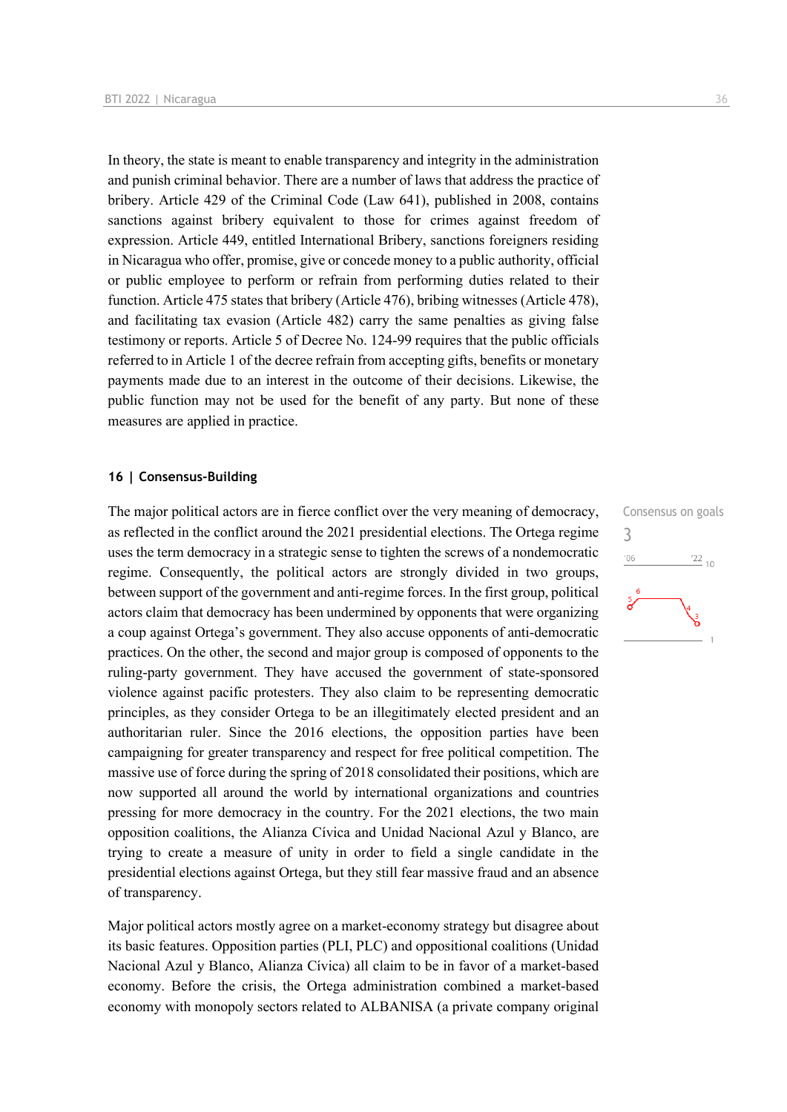In theory, the state is meant to enable transparency and integrity in the administration and punish criminal behavior. There are a number of laws that address the practice of bribery. Article 429 of the Criminal Code (Law 641), published in 2008, contains sanctions against bribery equivalent to those for crimes against freedom of expression. Article 449, entitled International Bribery, sanctions foreigners residing in Nicaragua who offer, promise, give or concede money to a public authority, official or public employee to perform or refrain from performing duties related to their function. Article 475 states that bribery (Article 476), bribing witnesses (Article 478), and facilitating tax evasion (Article 482) carry the same penalties as giving false testimony or reports. Article 5 of Decree No. 124-99 requires that the public officials referred to in Article 1 of the decree refrain from accepting gifts, benefits or monetary payments made due to an interest in the outcome of their decisions. Likewise, the public function may not be used for the benefit of any party. But none of these measures are applied in practice.

#### **16 | Consensus-Building**

The major political actors are in fierce conflict over the very meaning of democracy, as reflected in the conflict around the 2021 presidential elections. The Ortega regime uses the term democracy in a strategic sense to tighten the screws of a nondemocratic regime. Consequently, the political actors are strongly divided in two groups, between support of the government and anti-regime forces. In the first group, political actors claim that democracy has been undermined by opponents that were organizing a coup against Ortega's government. They also accuse opponents of anti-democratic practices. On the other, the second and major group is composed of opponents to the ruling-party government. They have accused the government of state-sponsored violence against pacific protesters. They also claim to be representing democratic principles, as they consider Ortega to be an illegitimately elected president and an authoritarian ruler. Since the 2016 elections, the opposition parties have been campaigning for greater transparency and respect for free political competition. The massive use of force during the spring of 2018 consolidated their positions, which are now supported all around the world by international organizations and countries pressing for more democracy in the country. For the 2021 elections, the two main opposition coalitions, the Alianza Cívica and Unidad Nacional Azul y Blanco, are trying to create a measure of unity in order to field a single candidate in the presidential elections against Ortega, but they still fear massive fraud and an absence of transparency.

Major political actors mostly agree on a market-economy strategy but disagree about its basic features. Opposition parties (PLI, PLC) and oppositional coalitions (Unidad Nacional Azul y Blanco, Alianza Cívica) all claim to be in favor of a market-based economy. Before the crisis, the Ortega administration combined a market-based economy with monopoly sectors related to ALBANISA (a private company original Consensus on goals 3 $\frac{22}{10}$  $^{\prime}06$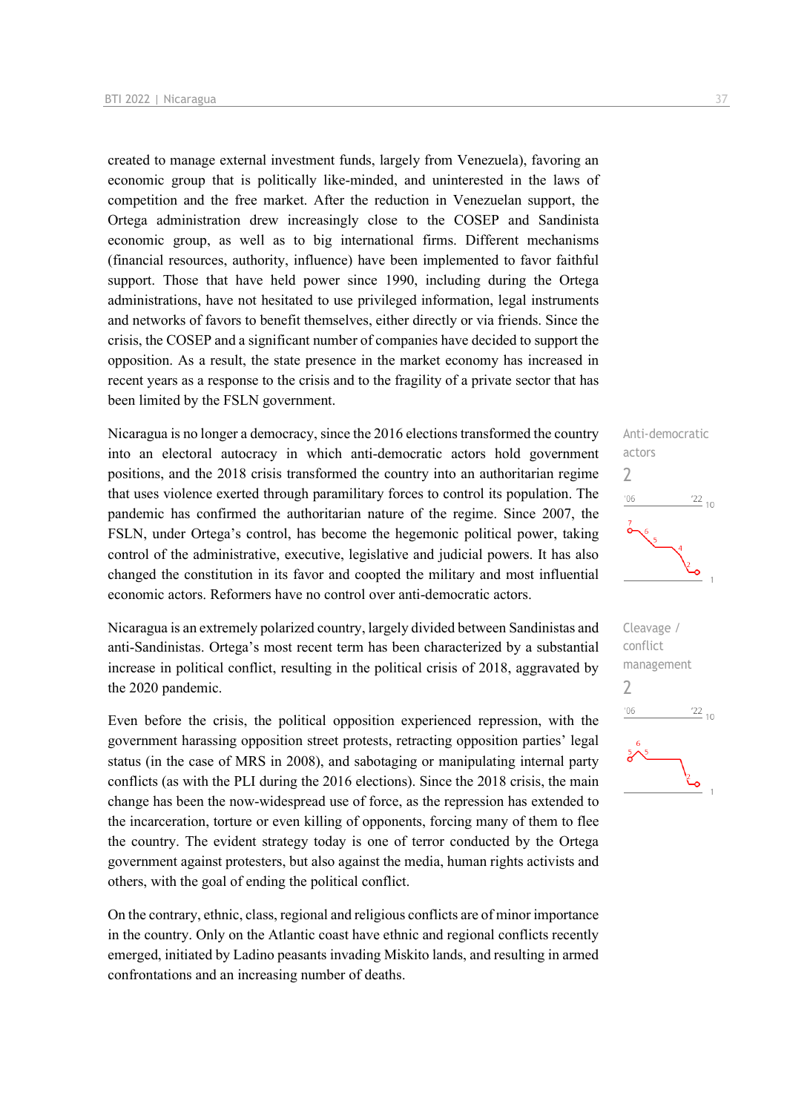created to manage external investment funds, largely from Venezuela), favoring an economic group that is politically like-minded, and uninterested in the laws of competition and the free market. After the reduction in Venezuelan support, the Ortega administration drew increasingly close to the COSEP and Sandinista economic group, as well as to big international firms. Different mechanisms (financial resources, authority, influence) have been implemented to favor faithful support. Those that have held power since 1990, including during the Ortega administrations, have not hesitated to use privileged information, legal instruments and networks of favors to benefit themselves, either directly or via friends. Since the crisis, the COSEP and a significant number of companies have decided to support the opposition. As a result, the state presence in the market economy has increased in recent years as a response to the crisis and to the fragility of a private sector that has been limited by the FSLN government.

Nicaragua is no longer a democracy, since the 2016 elections transformed the country into an electoral autocracy in which anti-democratic actors hold government positions, and the 2018 crisis transformed the country into an authoritarian regime that uses violence exerted through paramilitary forces to control its population. The pandemic has confirmed the authoritarian nature of the regime. Since 2007, the FSLN, under Ortega's control, has become the hegemonic political power, taking control of the administrative, executive, legislative and judicial powers. It has also changed the constitution in its favor and coopted the military and most influential economic actors. Reformers have no control over anti-democratic actors.

Nicaragua is an extremely polarized country, largely divided between Sandinistas and anti-Sandinistas. Ortega's most recent term has been characterized by a substantial increase in political conflict, resulting in the political crisis of 2018, aggravated by the 2020 pandemic.

Even before the crisis, the political opposition experienced repression, with the government harassing opposition street protests, retracting opposition parties' legal status (in the case of MRS in 2008), and sabotaging or manipulating internal party conflicts (as with the PLI during the 2016 elections). Since the 2018 crisis, the main change has been the now-widespread use of force, as the repression has extended to the incarceration, torture or even killing of opponents, forcing many of them to flee the country. The evident strategy today is one of terror conducted by the Ortega government against protesters, but also against the media, human rights activists and others, with the goal of ending the political conflict.

On the contrary, ethnic, class, regional and religious conflicts are of minor importance in the country. Only on the Atlantic coast have ethnic and regional conflicts recently emerged, initiated by Ladino peasants invading Miskito lands, and resulting in armed confrontations and an increasing number of deaths.



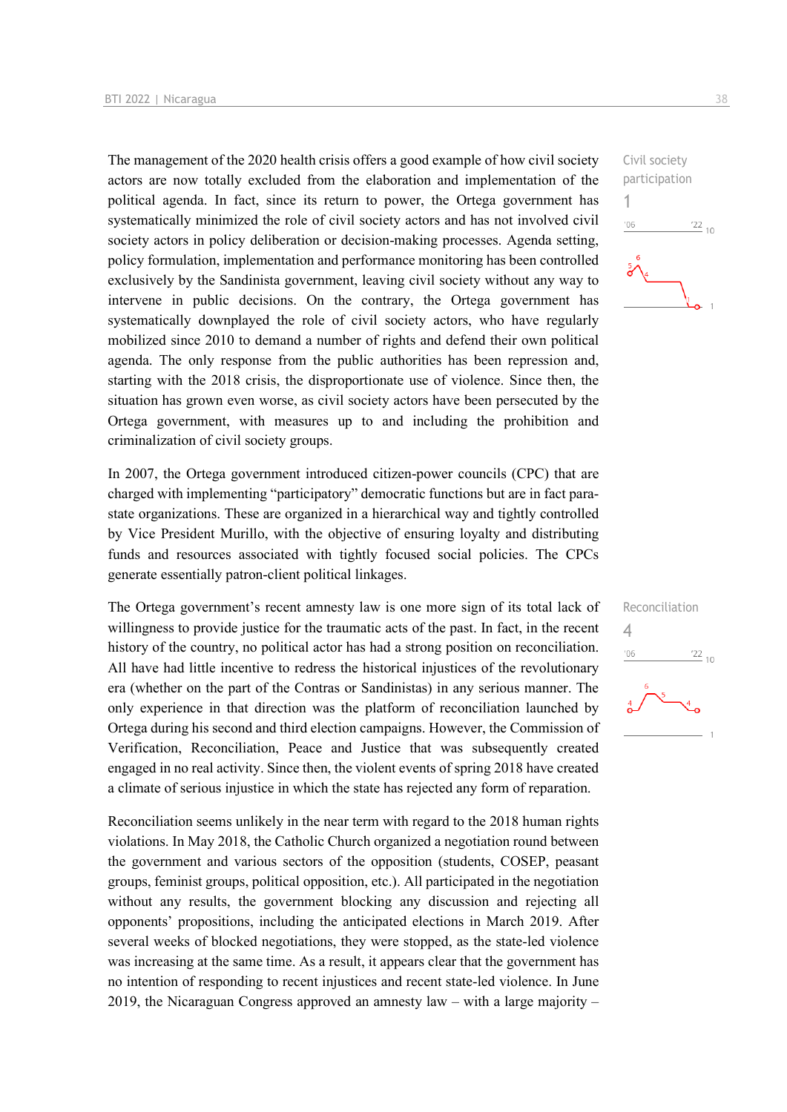The management of the 2020 health crisis offers a good example of how civil society actors are now totally excluded from the elaboration and implementation of the political agenda. In fact, since its return to power, the Ortega government has systematically minimized the role of civil society actors and has not involved civil society actors in policy deliberation or decision-making processes. Agenda setting, policy formulation, implementation and performance monitoring has been controlled exclusively by the Sandinista government, leaving civil society without any way to intervene in public decisions. On the contrary, the Ortega government has systematically downplayed the role of civil society actors, who have regularly mobilized since 2010 to demand a number of rights and defend their own political agenda. The only response from the public authorities has been repression and, starting with the 2018 crisis, the disproportionate use of violence. Since then, the situation has grown even worse, as civil society actors have been persecuted by the Ortega government, with measures up to and including the prohibition and criminalization of civil society groups.

In 2007, the Ortega government introduced citizen-power councils (CPC) that are charged with implementing "participatory" democratic functions but are in fact parastate organizations. These are organized in a hierarchical way and tightly controlled by Vice President Murillo, with the objective of ensuring loyalty and distributing funds and resources associated with tightly focused social policies. The CPCs generate essentially patron-client political linkages.

The Ortega government's recent amnesty law is one more sign of its total lack of willingness to provide justice for the traumatic acts of the past. In fact, in the recent history of the country, no political actor has had a strong position on reconciliation. All have had little incentive to redress the historical injustices of the revolutionary era (whether on the part of the Contras or Sandinistas) in any serious manner. The only experience in that direction was the platform of reconciliation launched by Ortega during his second and third election campaigns. However, the Commission of Verification, Reconciliation, Peace and Justice that was subsequently created engaged in no real activity. Since then, the violent events of spring 2018 have created a climate of serious injustice in which the state has rejected any form of reparation.

Reconciliation seems unlikely in the near term with regard to the 2018 human rights violations. In May 2018, the Catholic Church organized a negotiation round between the government and various sectors of the opposition (students, COSEP, peasant groups, feminist groups, political opposition, etc.). All participated in the negotiation without any results, the government blocking any discussion and rejecting all opponents' propositions, including the anticipated elections in March 2019. After several weeks of blocked negotiations, they were stopped, as the state-led violence was increasing at the same time. As a result, it appears clear that the government has no intention of responding to recent injustices and recent state-led violence. In June 2019, the Nicaraguan Congress approved an amnesty law – with a large majority –



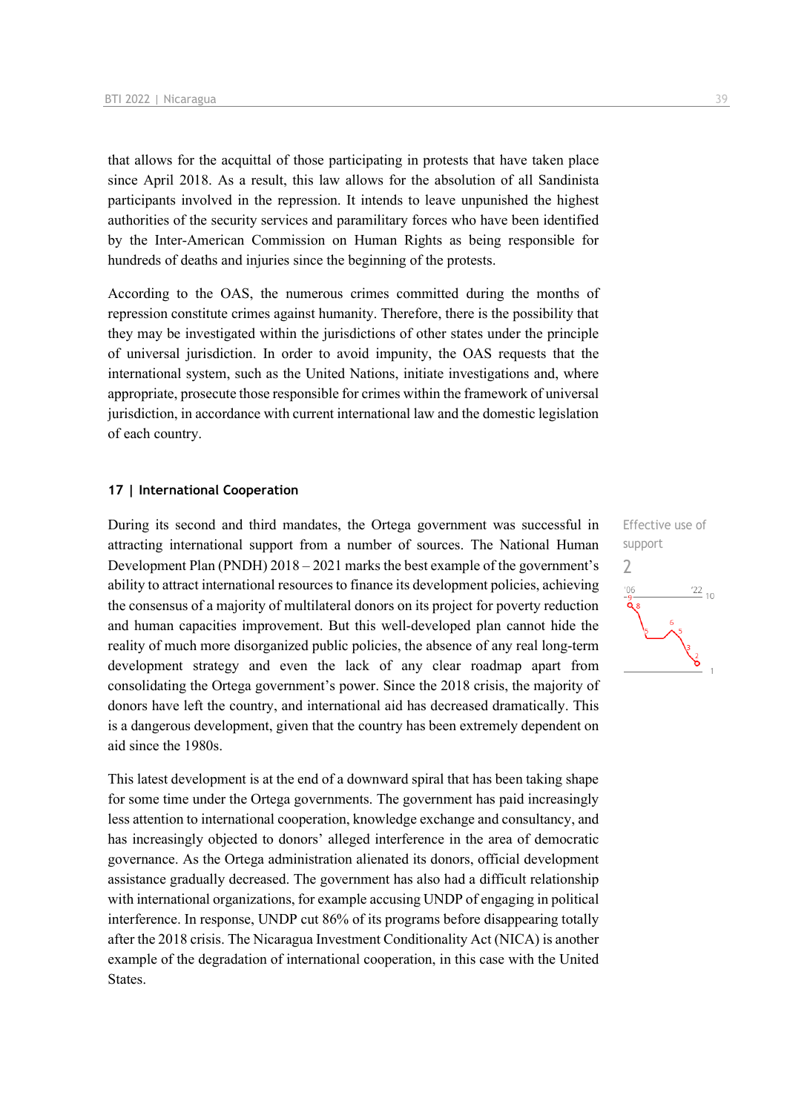that allows for the acquittal of those participating in protests that have taken place since April 2018. As a result, this law allows for the absolution of all Sandinista participants involved in the repression. It intends to leave unpunished the highest authorities of the security services and paramilitary forces who have been identified by the Inter-American Commission on Human Rights as being responsible for hundreds of deaths and injuries since the beginning of the protests.

According to the OAS, the numerous crimes committed during the months of repression constitute crimes against humanity. Therefore, there is the possibility that they may be investigated within the jurisdictions of other states under the principle of universal jurisdiction. In order to avoid impunity, the OAS requests that the international system, such as the United Nations, initiate investigations and, where appropriate, prosecute those responsible for crimes within the framework of universal jurisdiction, in accordance with current international law and the domestic legislation of each country.

#### **17 | International Cooperation**

During its second and third mandates, the Ortega government was successful in attracting international support from a number of sources. The National Human Development Plan (PNDH) 2018 – 2021 marks the best example of the government's ability to attract international resources to finance its development policies, achieving the consensus of a majority of multilateral donors on its project for poverty reduction and human capacities improvement. But this well-developed plan cannot hide the reality of much more disorganized public policies, the absence of any real long-term development strategy and even the lack of any clear roadmap apart from consolidating the Ortega government's power. Since the 2018 crisis, the majority of donors have left the country, and international aid has decreased dramatically. This is a dangerous development, given that the country has been extremely dependent on aid since the 1980s.

This latest development is at the end of a downward spiral that has been taking shape for some time under the Ortega governments. The government has paid increasingly less attention to international cooperation, knowledge exchange and consultancy, and has increasingly objected to donors' alleged interference in the area of democratic governance. As the Ortega administration alienated its donors, official development assistance gradually decreased. The government has also had a difficult relationship with international organizations, for example accusing UNDP of engaging in political interference. In response, UNDP cut 86% of its programs before disappearing totally after the 2018 crisis. The Nicaragua Investment Conditionality Act (NICA) is another example of the degradation of international cooperation, in this case with the United States.

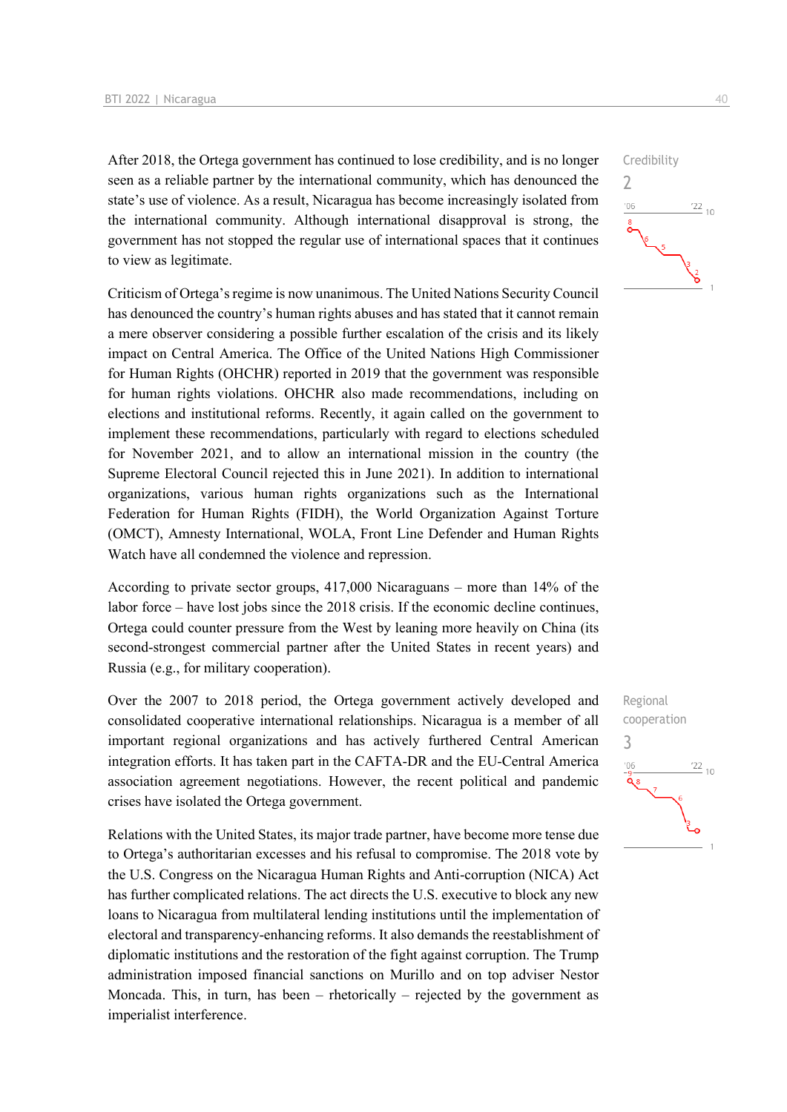After 2018, the Ortega government has continued to lose credibility, and is no longer seen as a reliable partner by the international community, which has denounced the state's use of violence. As a result, Nicaragua has become increasingly isolated from the international community. Although international disapproval is strong, the government has not stopped the regular use of international spaces that it continues to view as legitimate.

Criticism of Ortega's regime is now unanimous. The United Nations Security Council has denounced the country's human rights abuses and has stated that it cannot remain a mere observer considering a possible further escalation of the crisis and its likely impact on Central America. The Office of the United Nations High Commissioner for Human Rights (OHCHR) reported in 2019 that the government was responsible for human rights violations. OHCHR also made recommendations, including on elections and institutional reforms. Recently, it again called on the government to implement these recommendations, particularly with regard to elections scheduled for November 2021, and to allow an international mission in the country (the Supreme Electoral Council rejected this in June 2021). In addition to international organizations, various human rights organizations such as the International Federation for Human Rights (FIDH), the World Organization Against Torture (OMCT), Amnesty International, WOLA, Front Line Defender and Human Rights Watch have all condemned the violence and repression.

According to private sector groups, 417,000 Nicaraguans – more than 14% of the labor force – have lost jobs since the 2018 crisis. If the economic decline continues, Ortega could counter pressure from the West by leaning more heavily on China (its second-strongest commercial partner after the United States in recent years) and Russia (e.g., for military cooperation).

Over the 2007 to 2018 period, the Ortega government actively developed and consolidated cooperative international relationships. Nicaragua is a member of all important regional organizations and has actively furthered Central American integration efforts. It has taken part in the CAFTA-DR and the EU-Central America association agreement negotiations. However, the recent political and pandemic crises have isolated the Ortega government.

Relations with the United States, its major trade partner, have become more tense due to Ortega's authoritarian excesses and his refusal to compromise. The 2018 vote by the U.S. Congress on the Nicaragua Human Rights and Anti-corruption (NICA) Act has further complicated relations. The act directs the U.S. executive to block any new loans to Nicaragua from multilateral lending institutions until the implementation of electoral and transparency-enhancing reforms. It also demands the reestablishment of diplomatic institutions and the restoration of the fight against corruption. The Trump administration imposed financial sanctions on Murillo and on top adviser Nestor Moncada. This, in turn, has been – rhetorically – rejected by the government as imperialist interference.



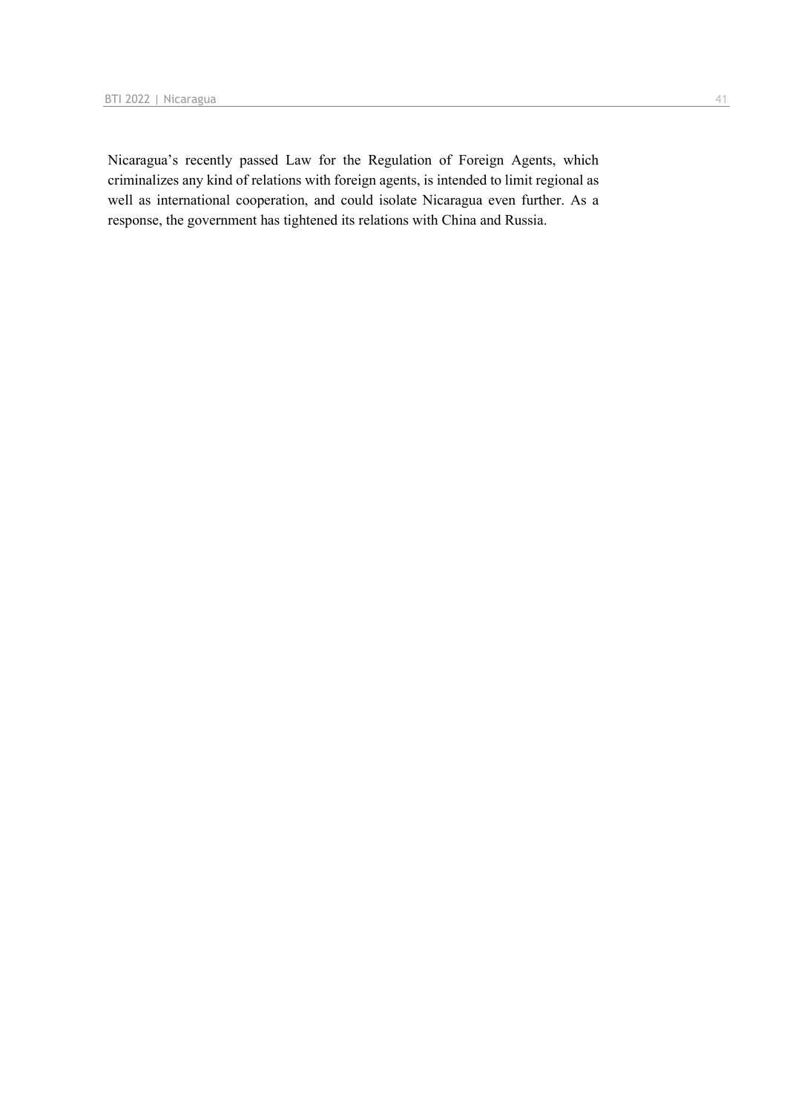Nicaragua's recently passed Law for the Regulation of Foreign Agents, which criminalizes any kind of relations with foreign agents, is intended to limit regional as well as international cooperation, and could isolate Nicaragua even further. As a response, the government has tightened its relations with China and Russia.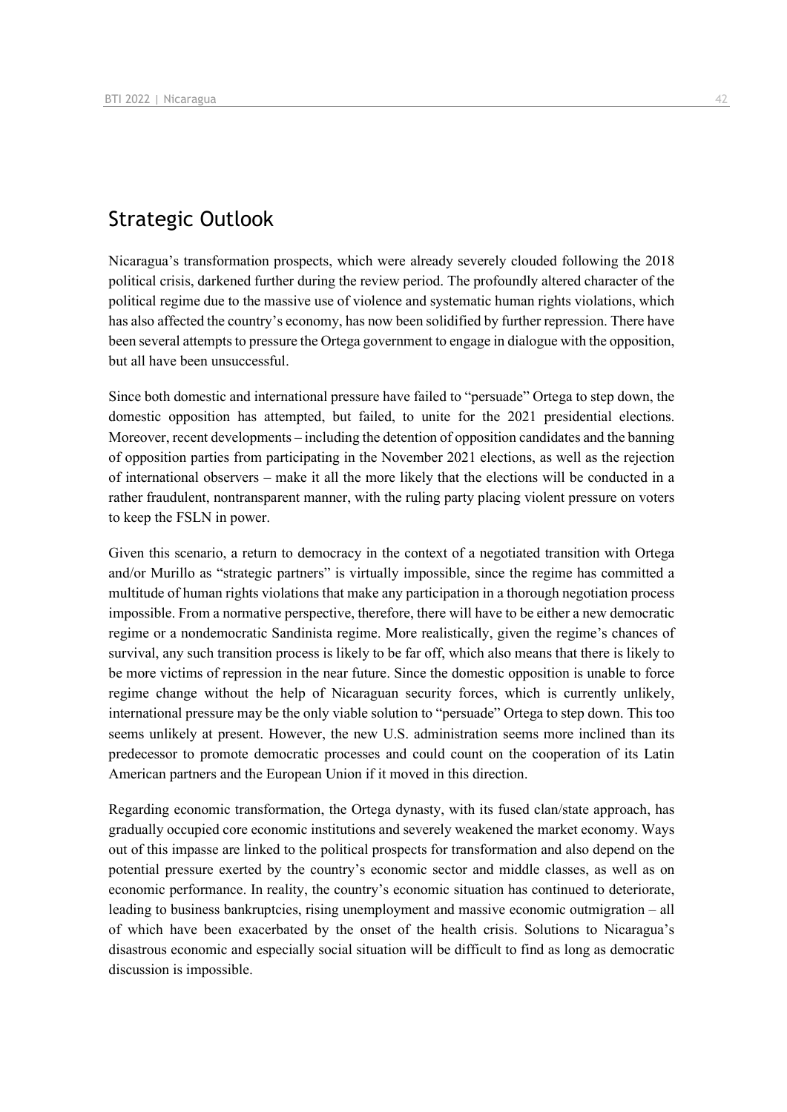## Strategic Outlook

Nicaragua's transformation prospects, which were already severely clouded following the 2018 political crisis, darkened further during the review period. The profoundly altered character of the political regime due to the massive use of violence and systematic human rights violations, which has also affected the country's economy, has now been solidified by further repression. There have been several attempts to pressure the Ortega government to engage in dialogue with the opposition, but all have been unsuccessful.

Since both domestic and international pressure have failed to "persuade" Ortega to step down, the domestic opposition has attempted, but failed, to unite for the 2021 presidential elections. Moreover, recent developments – including the detention of opposition candidates and the banning of opposition parties from participating in the November 2021 elections, as well as the rejection of international observers – make it all the more likely that the elections will be conducted in a rather fraudulent, nontransparent manner, with the ruling party placing violent pressure on voters to keep the FSLN in power.

Given this scenario, a return to democracy in the context of a negotiated transition with Ortega and/or Murillo as "strategic partners" is virtually impossible, since the regime has committed a multitude of human rights violations that make any participation in a thorough negotiation process impossible. From a normative perspective, therefore, there will have to be either a new democratic regime or a nondemocratic Sandinista regime. More realistically, given the regime's chances of survival, any such transition process is likely to be far off, which also means that there is likely to be more victims of repression in the near future. Since the domestic opposition is unable to force regime change without the help of Nicaraguan security forces, which is currently unlikely, international pressure may be the only viable solution to "persuade" Ortega to step down. This too seems unlikely at present. However, the new U.S. administration seems more inclined than its predecessor to promote democratic processes and could count on the cooperation of its Latin American partners and the European Union if it moved in this direction.

Regarding economic transformation, the Ortega dynasty, with its fused clan/state approach, has gradually occupied core economic institutions and severely weakened the market economy. Ways out of this impasse are linked to the political prospects for transformation and also depend on the potential pressure exerted by the country's economic sector and middle classes, as well as on economic performance. In reality, the country's economic situation has continued to deteriorate, leading to business bankruptcies, rising unemployment and massive economic outmigration – all of which have been exacerbated by the onset of the health crisis. Solutions to Nicaragua's disastrous economic and especially social situation will be difficult to find as long as democratic discussion is impossible.